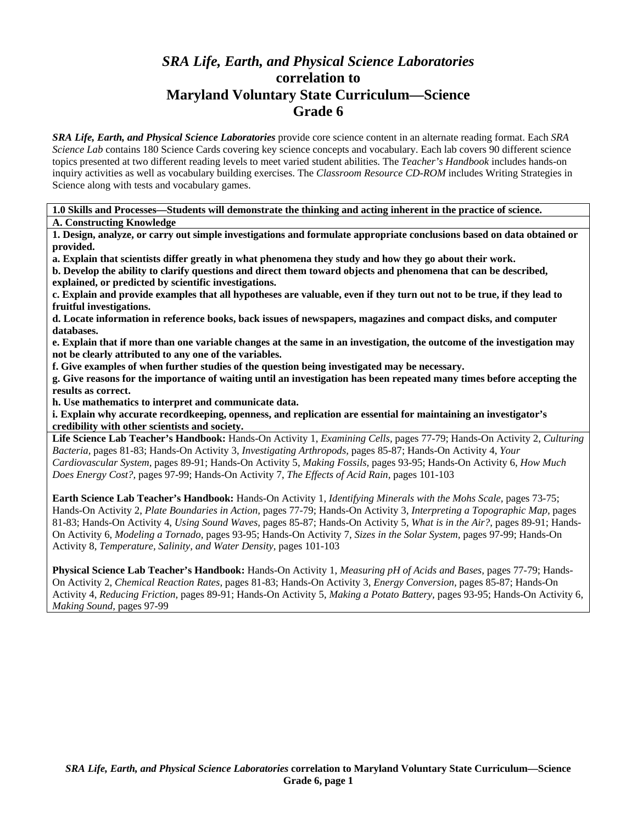# *SRA Life, Earth, and Physical Science Laboratories*  **correlation to Maryland Voluntary State Curriculum—Science Grade 6**

*SRA Life, Earth, and Physical Science Laboratories* provide core science content in an alternate reading format. Each *SRA Science Lab* contains 180 Science Cards covering key science concepts and vocabulary. Each lab covers 90 different science topics presented at two different reading levels to meet varied student abilities. The *Teacher's Handbook* includes hands-on inquiry activities as well as vocabulary building exercises. The *Classroom Resource CD-ROM* includes Writing Strategies in Science along with tests and vocabulary games.

**1.0 Skills and Processes—Students will demonstrate the thinking and acting inherent in the practice of science. A. Constructing Knowledge** 

**1. Design, analyze, or carry out simple investigations and formulate appropriate conclusions based on data obtained or provided.** 

**a. Explain that scientists differ greatly in what phenomena they study and how they go about their work.** 

**b. Develop the ability to clarify questions and direct them toward objects and phenomena that can be described, explained, or predicted by scientific investigations.** 

**c. Explain and provide examples that all hypotheses are valuable, even if they turn out not to be true, if they lead to fruitful investigations.** 

**d. Locate information in reference books, back issues of newspapers, magazines and compact disks, and computer databases.** 

**e. Explain that if more than one variable changes at the same in an investigation, the outcome of the investigation may not be clearly attributed to any one of the variables.** 

**f. Give examples of when further studies of the question being investigated may be necessary.** 

**g. Give reasons for the importance of waiting until an investigation has been repeated many times before accepting the results as correct.** 

**h. Use mathematics to interpret and communicate data.** 

**i. Explain why accurate recordkeeping, openness, and replication are essential for maintaining an investigator's credibility with other scientists and society.** 

**Life Science Lab Teacher's Handbook:** Hands-On Activity 1, *Examining Cells,* pages 77-79; Hands-On Activity 2, *Culturing Bacteria,* pages 81-83; Hands-On Activity 3, *Investigating Arthropods,* pages 85-87; Hands-On Activity 4, *Your Cardiovascular System,* pages 89-91; Hands-On Activity 5, *Making Fossils,* pages 93-95; Hands-On Activity 6, *How Much Does Energy Cost?,* pages 97-99; Hands-On Activity 7, *The Effects of Acid Rain,* pages 101-103

**Earth Science Lab Teacher's Handbook:** Hands-On Activity 1, *Identifying Minerals with the Mohs Scale,* pages 73-75; Hands-On Activity 2, *Plate Boundaries in Action,* pages 77-79; Hands-On Activity 3, *Interpreting a Topographic Map,* pages 81-83; Hands-On Activity 4, *Using Sound Waves,* pages 85-87; Hands-On Activity 5, *What is in the Air?,* pages 89-91; Hands-On Activity 6, *Modeling a Tornado,* pages 93-95; Hands-On Activity 7, *Sizes in the Solar System,* pages 97-99; Hands-On Activity 8, *Temperature, Salinity, and Water Density,* pages 101-103

**Physical Science Lab Teacher's Handbook:** Hands-On Activity 1, *Measuring pH of Acids and Bases,* pages 77-79; Hands-On Activity 2, *Chemical Reaction Rates,* pages 81-83; Hands-On Activity 3, *Energy Conversion,* pages 85-87; Hands-On Activity 4, *Reducing Friction,* pages 89-91; Hands-On Activity 5, *Making a Potato Battery,* pages 93-95; Hands-On Activity 6, *Making Sound,* pages 97-99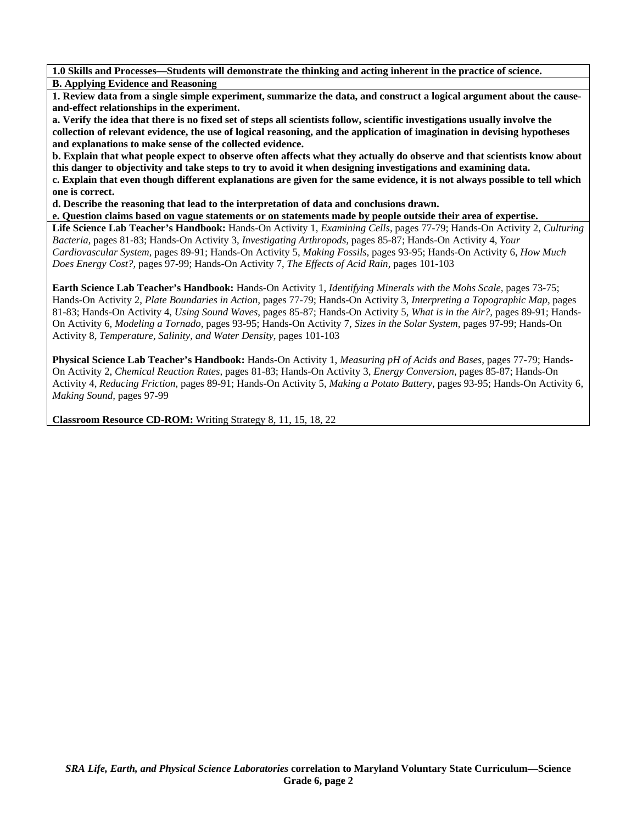**1.0 Skills and Processes—Students will demonstrate the thinking and acting inherent in the practice of science. B. Applying Evidence and Reasoning** 

**1. Review data from a single simple experiment, summarize the data, and construct a logical argument about the causeand-effect relationships in the experiment.** 

**a. Verify the idea that there is no fixed set of steps all scientists follow, scientific investigations usually involve the collection of relevant evidence, the use of logical reasoning, and the application of imagination in devising hypotheses and explanations to make sense of the collected evidence.** 

**b. Explain that what people expect to observe often affects what they actually do observe and that scientists know about this danger to objectivity and take steps to try to avoid it when designing investigations and examining data. c. Explain that even though different explanations are given for the same evidence, it is not always possible to tell which one is correct.** 

**d. Describe the reasoning that lead to the interpretation of data and conclusions drawn.** 

**e. Question claims based on vague statements or on statements made by people outside their area of expertise.** 

**Life Science Lab Teacher's Handbook:** Hands-On Activity 1, *Examining Cells,* pages 77-79; Hands-On Activity 2, *Culturing Bacteria,* pages 81-83; Hands-On Activity 3, *Investigating Arthropods,* pages 85-87; Hands-On Activity 4, *Your Cardiovascular System,* pages 89-91; Hands-On Activity 5, *Making Fossils,* pages 93-95; Hands-On Activity 6, *How Much Does Energy Cost?,* pages 97-99; Hands-On Activity 7, *The Effects of Acid Rain,* pages 101-103

**Earth Science Lab Teacher's Handbook:** Hands-On Activity 1, *Identifying Minerals with the Mohs Scale,* pages 73-75; Hands-On Activity 2, *Plate Boundaries in Action,* pages 77-79; Hands-On Activity 3, *Interpreting a Topographic Map,* pages 81-83; Hands-On Activity 4, *Using Sound Waves,* pages 85-87; Hands-On Activity 5, *What is in the Air?,* pages 89-91; Hands-On Activity 6, *Modeling a Tornado,* pages 93-95; Hands-On Activity 7, *Sizes in the Solar System,* pages 97-99; Hands-On Activity 8, *Temperature, Salinity, and Water Density,* pages 101-103

**Physical Science Lab Teacher's Handbook:** Hands-On Activity 1, *Measuring pH of Acids and Bases,* pages 77-79; Hands-On Activity 2, *Chemical Reaction Rates,* pages 81-83; Hands-On Activity 3, *Energy Conversion,* pages 85-87; Hands-On Activity 4, *Reducing Friction,* pages 89-91; Hands-On Activity 5, *Making a Potato Battery,* pages 93-95; Hands-On Activity 6, *Making Sound,* pages 97-99

**Classroom Resource CD-ROM:** Writing Strategy 8, 11, 15, 18, 22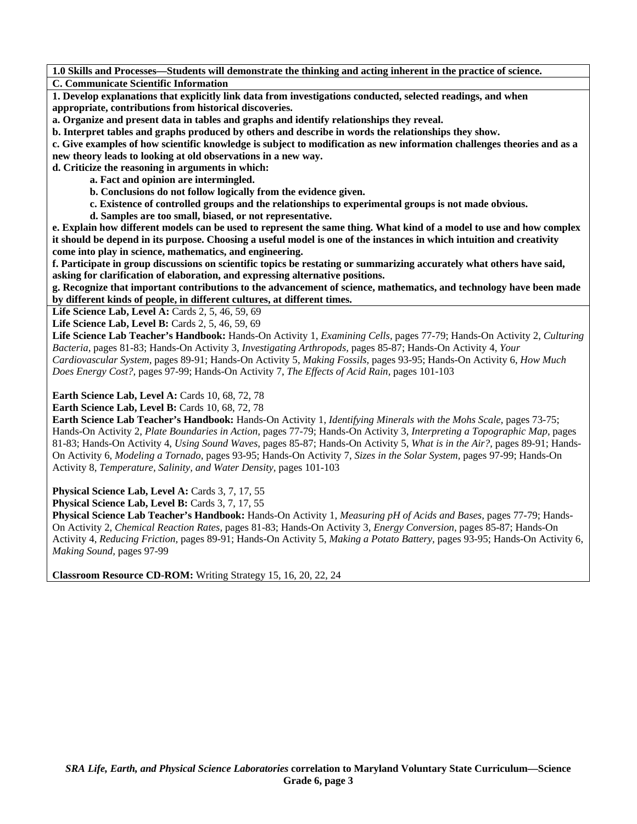**1.0 Skills and Processes—Students will demonstrate the thinking and acting inherent in the practice of science. C. Communicate Scientific Information** 

**1. Develop explanations that explicitly link data from investigations conducted, selected readings, and when appropriate, contributions from historical discoveries.** 

**a. Organize and present data in tables and graphs and identify relationships they reveal.** 

**b. Interpret tables and graphs produced by others and describe in words the relationships they show.** 

**c. Give examples of how scientific knowledge is subject to modification as new information challenges theories and as a new theory leads to looking at old observations in a new way.** 

**d. Criticize the reasoning in arguments in which:** 

 **a. Fact and opinion are intermingled.** 

 **b. Conclusions do not follow logically from the evidence given.** 

 **c. Existence of controlled groups and the relationships to experimental groups is not made obvious.** 

 **d. Samples are too small, biased, or not representative.** 

**e. Explain how different models can be used to represent the same thing. What kind of a model to use and how complex it should be depend in its purpose. Choosing a useful model is one of the instances in which intuition and creativity come into play in science, mathematics, and engineering.** 

**f. Participate in group discussions on scientific topics be restating or summarizing accurately what others have said, asking for clarification of elaboration, and expressing alternative positions.** 

**g. Recognize that important contributions to the advancement of science, mathematics, and technology have been made by different kinds of people, in different cultures, at different times.** 

Life Science Lab, Level A: Cards 2, 5, 46, 59, 69

**Life Science Lab, Level B: Cards 2, 5, 46, 59, 69** 

**Life Science Lab Teacher's Handbook:** Hands-On Activity 1, *Examining Cells,* pages 77-79; Hands-On Activity 2, *Culturing Bacteria,* pages 81-83; Hands-On Activity 3, *Investigating Arthropods,* pages 85-87; Hands-On Activity 4, *Your Cardiovascular System,* pages 89-91; Hands-On Activity 5, *Making Fossils,* pages 93-95; Hands-On Activity 6, *How Much Does Energy Cost?,* pages 97-99; Hands-On Activity 7, *The Effects of Acid Rain,* pages 101-103

**Earth Science Lab, Level A: Cards 10, 68, 72, 78** 

**Earth Science Lab, Level B: Cards 10, 68, 72, 78** 

**Earth Science Lab Teacher's Handbook:** Hands-On Activity 1, *Identifying Minerals with the Mohs Scale,* pages 73-75; Hands-On Activity 2, *Plate Boundaries in Action,* pages 77-79; Hands-On Activity 3, *Interpreting a Topographic Map,* pages 81-83; Hands-On Activity 4, *Using Sound Waves,* pages 85-87; Hands-On Activity 5, *What is in the Air?,* pages 89-91; Hands-On Activity 6, *Modeling a Tornado,* pages 93-95; Hands-On Activity 7, *Sizes in the Solar System,* pages 97-99; Hands-On Activity 8, *Temperature, Salinity, and Water Density,* pages 101-103

Physical Science Lab, Level A: Cards 3, 7, 17, 55

Physical Science Lab, Level B: Cards 3, 7, 17, 55

**Physical Science Lab Teacher's Handbook:** Hands-On Activity 1, *Measuring pH of Acids and Bases,* pages 77-79; Hands-On Activity 2, *Chemical Reaction Rates,* pages 81-83; Hands-On Activity 3, *Energy Conversion,* pages 85-87; Hands-On Activity 4, *Reducing Friction,* pages 89-91; Hands-On Activity 5, *Making a Potato Battery,* pages 93-95; Hands-On Activity 6, *Making Sound,* pages 97-99

**Classroom Resource CD-ROM:** Writing Strategy 15, 16, 20, 22, 24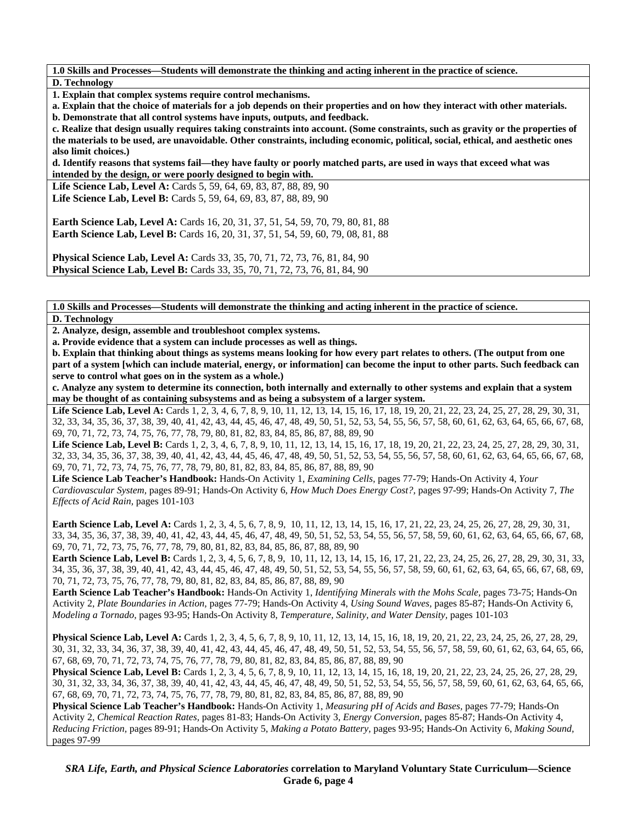**1.0 Skills and Processes—Students will demonstrate the thinking and acting inherent in the practice of science. D. Technology** 

**1. Explain that complex systems require control mechanisms.** 

**a. Explain that the choice of materials for a job depends on their properties and on how they interact with other materials.** 

**b. Demonstrate that all control systems have inputs, outputs, and feedback.** 

**c. Realize that design usually requires taking constraints into account. (Some constraints, such as gravity or the properties of the materials to be used, are unavoidable. Other constraints, including economic, political, social, ethical, and aesthetic ones also limit choices.)** 

**d. Identify reasons that systems fail—they have faulty or poorly matched parts, are used in ways that exceed what was intended by the design, or were poorly designed to begin with.** 

Life Science Lab, Level A: Cards 5, 59, 64, 69, 83, 87, 88, 89, 90 **Life Science Lab, Level B:** Cards 5, 59, 64, 69, 83, 87, 88, 89, 90

**Earth Science Lab, Level A:** Cards 16, 20, 31, 37, 51, 54, 59, 70, 79, 80, 81, 88 **Earth Science Lab, Level B:** Cards 16, 20, 31, 37, 51, 54, 59, 60, 79, 08, 81, 88

**Physical Science Lab, Level A: Cards 33, 35, 70, 71, 72, 73, 76, 81, 84, 90 Physical Science Lab, Level B:** Cards 33, 35, 70, 71, 72, 73, 76, 81, 84, 90

**1.0 Skills and Processes—Students will demonstrate the thinking and acting inherent in the practice of science. D. Technology** 

**2. Analyze, design, assemble and troubleshoot complex systems.** 

**a. Provide evidence that a system can include processes as well as things.** 

**b. Explain that thinking about things as systems means looking for how every part relates to others. (The output from one part of a system [which can include material, energy, or information] can become the input to other parts. Such feedback can serve to control what goes on in the system as a whole.)** 

**c. Analyze any system to determine its connection, both internally and externally to other systems and explain that a system may be thought of as containing subsystems and as being a subsystem of a larger system.** 

Life Science Lab, Level A: Cards 1, 2, 3, 4, 6, 7, 8, 9, 10, 11, 12, 13, 14, 15, 16, 17, 18, 19, 20, 21, 22, 23, 24, 25, 27, 28, 29, 30, 31, 32, 33, 34, 35, 36, 37, 38, 39, 40, 41, 42, 43, 44, 45, 46, 47, 48, 49, 50, 51, 52, 53, 54, 55, 56, 57, 58, 60, 61, 62, 63, 64, 65, 66, 67, 68, 69, 70, 71, 72, 73, 74, 75, 76, 77, 78, 79, 80, 81, 82, 83, 84, 85, 86, 87, 88, 89, 90

Life Science Lab, Level B: Cards 1, 2, 3, 4, 6, 7, 8, 9, 10, 11, 12, 13, 14, 15, 16, 17, 18, 19, 20, 21, 22, 23, 24, 25, 27, 28, 29, 30, 31, 32, 33, 34, 35, 36, 37, 38, 39, 40, 41, 42, 43, 44, 45, 46, 47, 48, 49, 50, 51, 52, 53, 54, 55, 56, 57, 58, 60, 61, 62, 63, 64, 65, 66, 67, 68, 69, 70, 71, 72, 73, 74, 75, 76, 77, 78, 79, 80, 81, 82, 83, 84, 85, 86, 87, 88, 89, 90

**Life Science Lab Teacher's Handbook:** Hands-On Activity 1, *Examining Cells,* pages 77-79; Hands-On Activity 4, *Your Cardiovascular System,* pages 89-91; Hands-On Activity 6, *How Much Does Energy Cost?,* pages 97-99; Hands-On Activity 7, *The Effects of Acid Rain,* pages 101-103

**Earth Science Lab, Level A:** Cards 1, 2, 3, 4, 5, 6, 7, 8, 9, 10, 11, 12, 13, 14, 15, 16, 17, 21, 22, 23, 24, 25, 26, 27, 28, 29, 30, 31, 33, 34, 35, 36, 37, 38, 39, 40, 41, 42, 43, 44, 45, 46, 47, 48, 49, 50, 51, 52, 53, 54, 55, 56, 57, 58, 59, 60, 61, 62, 63, 64, 65, 66, 67, 68, 69, 70, 71, 72, 73, 75, 76, 77, 78, 79, 80, 81, 82, 83, 84, 85, 86, 87, 88, 89, 90

**Earth Science Lab, Level B:** Cards 1, 2, 3, 4, 5, 6, 7, 8, 9, 10, 11, 12, 13, 14, 15, 16, 17, 21, 22, 23, 24, 25, 26, 27, 28, 29, 30, 31, 33, 34, 35, 36, 37, 38, 39, 40, 41, 42, 43, 44, 45, 46, 47, 48, 49, 50, 51, 52, 53, 54, 55, 56, 57, 58, 59, 60, 61, 62, 63, 64, 65, 66, 67, 68, 69, 70, 71, 72, 73, 75, 76, 77, 78, 79, 80, 81, 82, 83, 84, 85, 86, 87, 88, 89, 90

**Earth Science Lab Teacher's Handbook:** Hands-On Activity 1, *Identifying Minerals with the Mohs Scale,* pages 73-75; Hands-On Activity 2, *Plate Boundaries in Action,* pages 77-79; Hands-On Activity 4, *Using Sound Waves,* pages 85-87; Hands-On Activity 6, *Modeling a Tornado,* pages 93-95; Hands-On Activity 8, *Temperature, Salinity, and Water Density,* pages 101-103

**Physical Science Lab, Level A:** Cards 1, 2, 3, 4, 5, 6, 7, 8, 9, 10, 11, 12, 13, 14, 15, 16, 18, 19, 20, 21, 22, 23, 24, 25, 26, 27, 28, 29, 30, 31, 32, 33, 34, 36, 37, 38, 39, 40, 41, 42, 43, 44, 45, 46, 47, 48, 49, 50, 51, 52, 53, 54, 55, 56, 57, 58, 59, 60, 61, 62, 63, 64, 65, 66, 67, 68, 69, 70, 71, 72, 73, 74, 75, 76, 77, 78, 79, 80, 81, 82, 83, 84, 85, 86, 87, 88, 89, 90

**Physical Science Lab, Level B:** Cards 1, 2, 3, 4, 5, 6, 7, 8, 9, 10, 11, 12, 13, 14, 15, 16, 18, 19, 20, 21, 22, 23, 24, 25, 26, 27, 28, 29, 30, 31, 32, 33, 34, 36, 37, 38, 39, 40, 41, 42, 43, 44, 45, 46, 47, 48, 49, 50, 51, 52, 53, 54, 55, 56, 57, 58, 59, 60, 61, 62, 63, 64, 65, 66, 67, 68, 69, 70, 71, 72, 73, 74, 75, 76, 77, 78, 79, 80, 81, 82, 83, 84, 85, 86, 87, 88, 89, 90

**Physical Science Lab Teacher's Handbook:** Hands-On Activity 1, *Measuring pH of Acids and Bases,* pages 77-79; Hands-On Activity 2, *Chemical Reaction Rates,* pages 81-83; Hands-On Activity 3, *Energy Conversion,* pages 85-87; Hands-On Activity 4, *Reducing Friction,* pages 89-91; Hands-On Activity 5, *Making a Potato Battery,* pages 93-95; Hands-On Activity 6, *Making Sound,* pages 97-99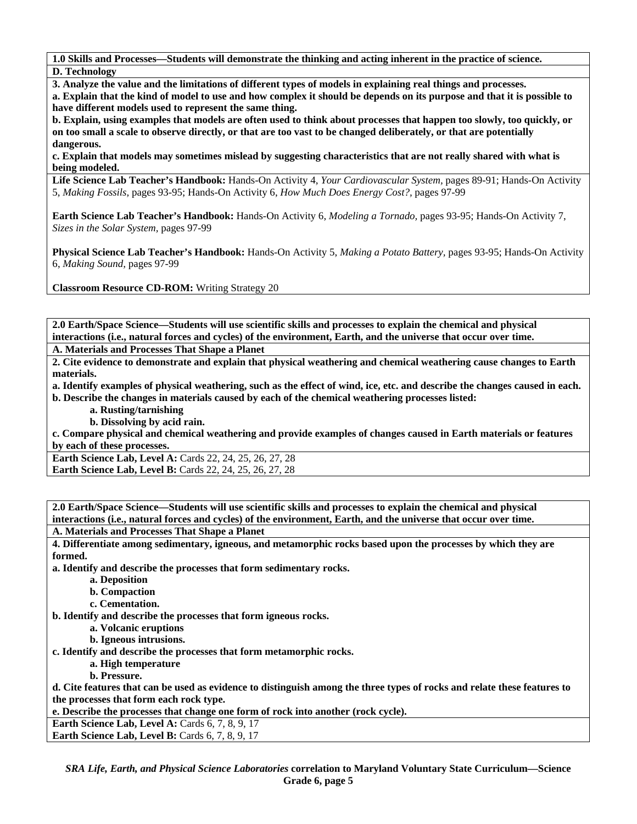**1.0 Skills and Processes—Students will demonstrate the thinking and acting inherent in the practice of science. D. Technology** 

**3. Analyze the value and the limitations of different types of models in explaining real things and processes.** 

**a. Explain that the kind of model to use and how complex it should be depends on its purpose and that it is possible to have different models used to represent the same thing.** 

**b. Explain, using examples that models are often used to think about processes that happen too slowly, too quickly, or on too small a scale to observe directly, or that are too vast to be changed deliberately, or that are potentially dangerous.** 

**c. Explain that models may sometimes mislead by suggesting characteristics that are not really shared with what is being modeled.** 

**Life Science Lab Teacher's Handbook:** Hands-On Activity 4, *Your Cardiovascular System,* pages 89-91; Hands-On Activity 5, *Making Fossils,* pages 93-95; Hands-On Activity 6, *How Much Does Energy Cost?,* pages 97-99

**Earth Science Lab Teacher's Handbook:** Hands-On Activity 6, *Modeling a Tornado,* pages 93-95; Hands-On Activity 7, *Sizes in the Solar System,* pages 97-99

**Physical Science Lab Teacher's Handbook:** Hands-On Activity 5, *Making a Potato Battery,* pages 93-95; Hands-On Activity 6, *Making Sound,* pages 97-99

**Classroom Resource CD-ROM:** Writing Strategy 20

**2.0 Earth/Space Science—Students will use scientific skills and processes to explain the chemical and physical interactions (i.e., natural forces and cycles) of the environment, Earth, and the universe that occur over time.** 

**A. Materials and Processes That Shape a Planet** 

**2. Cite evidence to demonstrate and explain that physical weathering and chemical weathering cause changes to Earth materials.** 

**a. Identify examples of physical weathering, such as the effect of wind, ice, etc. and describe the changes caused in each.** 

**b. Describe the changes in materials caused by each of the chemical weathering processes listed:** 

 **a. Rusting/tarnishing** 

 **b. Dissolving by acid rain.** 

**c. Compare physical and chemical weathering and provide examples of changes caused in Earth materials or features by each of these processes.** 

**Earth Science Lab, Level A: Cards 22, 24, 25, 26, 27, 28** 

**Earth Science Lab, Level B:** Cards 22, 24, 25, 26, 27, 28

**2.0 Earth/Space Science—Students will use scientific skills and processes to explain the chemical and physical interactions (i.e., natural forces and cycles) of the environment, Earth, and the universe that occur over time.** 

**A. Materials and Processes That Shape a Planet** 

**4. Differentiate among sedimentary, igneous, and metamorphic rocks based upon the processes by which they are formed.** 

**a. Identify and describe the processes that form sedimentary rocks.** 

- **a. Deposition**
- **b. Compaction**
- **c. Cementation.**

**b. Identify and describe the processes that form igneous rocks.** 

 **a. Volcanic eruptions** 

 **b. Igneous intrusions.** 

**c. Identify and describe the processes that form metamorphic rocks.** 

 **a. High temperature** 

 **b. Pressure.** 

**d. Cite features that can be used as evidence to distinguish among the three types of rocks and relate these features to the processes that form each rock type.** 

**e. Describe the processes that change one form of rock into another (rock cycle).** 

**Earth Science Lab, Level A: Cards 6, 7, 8, 9, 17 Earth Science Lab, Level B: Cards 6, 7, 8, 9, 17** 

*SRA Life, Earth, and Physical Science Laboratories* **correlation to Maryland Voluntary State Curriculum—Science Grade 6, page 5**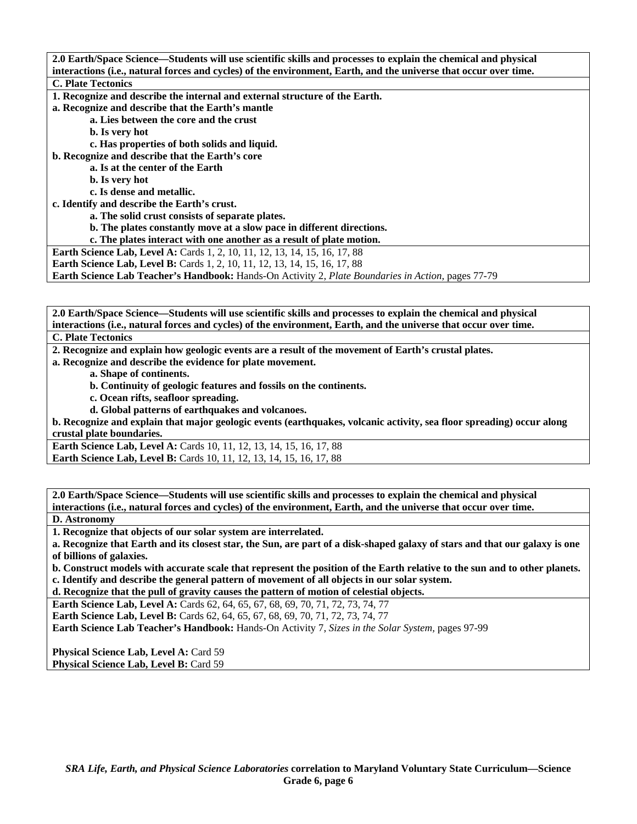| 2.0 Earth/Space Science—Students will use scientific skills and processes to explain the chemical and physical   |
|------------------------------------------------------------------------------------------------------------------|
| interactions (i.e., natural forces and cycles) of the environment, Earth, and the universe that occur over time. |
| <b>C. Plate Tectonics</b>                                                                                        |
| 1. Recognize and describe the internal and external structure of the Earth.                                      |
| a. Recognize and describe that the Earth's mantle                                                                |
| a. Lies between the core and the crust                                                                           |
| <b>b.</b> Is very hot                                                                                            |
| c. Has properties of both solids and liquid.                                                                     |
| b. Recognize and describe that the Earth's core                                                                  |
| a. Is at the center of the Earth                                                                                 |
| <b>b.</b> Is very hot                                                                                            |
| c. Is dense and metallic.                                                                                        |
| c. Identify and describe the Earth's crust.                                                                      |
| a. The solid crust consists of separate plates.                                                                  |
| b. The plates constantly move at a slow pace in different directions.                                            |
| c. The plates interact with one another as a result of plate motion.                                             |
| Earth Science Lab, Level A: Cards 1, 2, 10, 11, 12, 13, 14, 15, 16, 17, 88                                       |
| <b>Earth Science Lab, Level B:</b> Cards 1, 2, 10, 11, 12, 13, 14, 15, 16, 17, 88                                |
| Earth Science Lab Teacher's Handbook: Hands-On Activity 2, Plate Boundaries in Action, pages 77-79               |

**2.0 Earth/Space Science—Students will use scientific skills and processes to explain the chemical and physical interactions (i.e., natural forces and cycles) of the environment, Earth, and the universe that occur over time.** 

**C. Plate Tectonics** 

**2. Recognize and explain how geologic events are a result of the movement of Earth's crustal plates.** 

**a. Recognize and describe the evidence for plate movement.** 

 **a. Shape of continents.** 

 **b. Continuity of geologic features and fossils on the continents.** 

 **c. Ocean rifts, seafloor spreading.** 

 **d. Global patterns of earthquakes and volcanoes.** 

**b. Recognize and explain that major geologic events (earthquakes, volcanic activity, sea floor spreading) occur along crustal plate boundaries.** 

**Earth Science Lab, Level A: Cards 10, 11, 12, 13, 14, 15, 16, 17, 88 Earth Science Lab, Level B:** Cards 10, 11, 12, 13, 14, 15, 16, 17, 88

**2.0 Earth/Space Science—Students will use scientific skills and processes to explain the chemical and physical interactions (i.e., natural forces and cycles) of the environment, Earth, and the universe that occur over time.** 

**D. Astronomy** 

**1. Recognize that objects of our solar system are interrelated.** 

**a. Recognize that Earth and its closest star, the Sun, are part of a disk-shaped galaxy of stars and that our galaxy is one of billions of galaxies.** 

**b. Construct models with accurate scale that represent the position of the Earth relative to the sun and to other planets. c. Identify and describe the general pattern of movement of all objects in our solar system.** 

**d. Recognize that the pull of gravity causes the pattern of motion of celestial objects.** 

**Earth Science Lab, Level A: Cards 62, 64, 65, 67, 68, 69, 70, 71, 72, 73, 74, 77** 

**Earth Science Lab, Level B:** Cards 62, 64, 65, 67, 68, 69, 70, 71, 72, 73, 74, 77

**Earth Science Lab Teacher's Handbook:** Hands-On Activity 7, *Sizes in the Solar System,* pages 97-99

Physical Science Lab, Level A: Card 59 Physical Science Lab, Level B: Card 59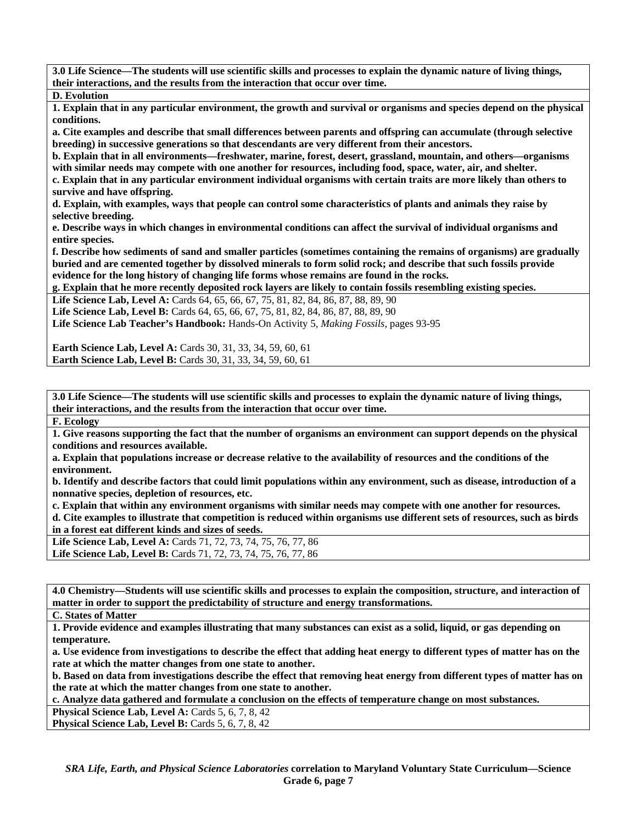**3.0 Life Science—The students will use scientific skills and processes to explain the dynamic nature of living things, their interactions, and the results from the interaction that occur over time.** 

**D. Evolution** 

**1. Explain that in any particular environment, the growth and survival or organisms and species depend on the physical conditions.** 

**a. Cite examples and describe that small differences between parents and offspring can accumulate (through selective breeding) in successive generations so that descendants are very different from their ancestors.** 

**b. Explain that in all environments—freshwater, marine, forest, desert, grassland, mountain, and others—organisms with similar needs may compete with one another for resources, including food, space, water, air, and shelter.** 

**c. Explain that in any particular environment individual organisms with certain traits are more likely than others to survive and have offspring.** 

**d. Explain, with examples, ways that people can control some characteristics of plants and animals they raise by selective breeding.** 

**e. Describe ways in which changes in environmental conditions can affect the survival of individual organisms and entire species.** 

**f. Describe how sediments of sand and smaller particles (sometimes containing the remains of organisms) are gradually buried and are cemented together by dissolved minerals to form solid rock; and describe that such fossils provide evidence for the long history of changing life forms whose remains are found in the rocks.** 

**g. Explain that he more recently deposited rock layers are likely to contain fossils resembling existing species.** 

**Life Science Lab, Level A:** Cards 64, 65, 66, 67, 75, 81, 82, 84, 86, 87, 88, 89, 90

Life Science Lab, Level B: Cards 64, 65, 66, 67, 75, 81, 82, 84, 86, 87, 88, 89, 90

**Life Science Lab Teacher's Handbook:** Hands-On Activity 5, *Making Fossils,* pages 93-95

**Earth Science Lab, Level A: Cards 30, 31, 33, 34, 59, 60, 61 Earth Science Lab, Level B:** Cards 30, 31, 33, 34, 59, 60, 61

**3.0 Life Science—The students will use scientific skills and processes to explain the dynamic nature of living things, their interactions, and the results from the interaction that occur over time.** 

**F. Ecology** 

**1. Give reasons supporting the fact that the number of organisms an environment can support depends on the physical conditions and resources available.** 

**a. Explain that populations increase or decrease relative to the availability of resources and the conditions of the environment.** 

**b. Identify and describe factors that could limit populations within any environment, such as disease, introduction of a nonnative species, depletion of resources, etc.** 

**c. Explain that within any environment organisms with similar needs may compete with one another for resources.** 

**d. Cite examples to illustrate that competition is reduced within organisms use different sets of resources, such as birds in a forest eat different kinds and sizes of seeds.** 

**Life Science Lab, Level A:** Cards 71, 72, 73, 74, 75, 76, 77, 86 **Life Science Lab, Level B:** Cards 71, 72, 73, 74, 75, 76, 77, 86

**4.0 Chemistry—Students will use scientific skills and processes to explain the composition, structure, and interaction of matter in order to support the predictability of structure and energy transformations.** 

**C. States of Matter** 

**1. Provide evidence and examples illustrating that many substances can exist as a solid, liquid, or gas depending on temperature.** 

**a. Use evidence from investigations to describe the effect that adding heat energy to different types of matter has on the rate at which the matter changes from one state to another.** 

**b. Based on data from investigations describe the effect that removing heat energy from different types of matter has on the rate at which the matter changes from one state to another.** 

**c. Analyze data gathered and formulate a conclusion on the effects of temperature change on most substances.** 

**Physical Science Lab, Level A: Cards 5, 6, 7, 8, 42 Physical Science Lab, Level B: Cards 5, 6, 7, 8, 42**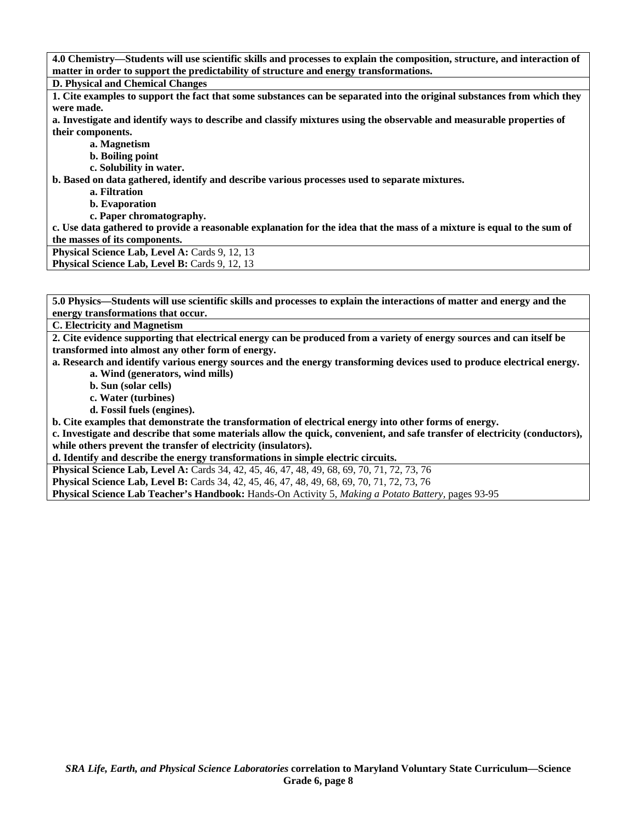| 4.0 Chemistry—Students will use scientific skills and processes to explain the composition, structure, and interaction of |
|---------------------------------------------------------------------------------------------------------------------------|
| matter in order to support the predictability of structure and energy transformations.                                    |
| <b>D. Physical and Chemical Changes</b>                                                                                   |
| 1. Cite examples to support the fact that some substances can be separated into the original substances from which they   |
| were made.                                                                                                                |
| a. Investigate and identify ways to describe and classify mixtures using the observable and measurable properties of      |
| their components.                                                                                                         |
| a. Magnetism                                                                                                              |
| b. Boiling point                                                                                                          |
| c. Solubility in water.                                                                                                   |
| b. Based on data gathered, identify and describe various processes used to separate mixtures.                             |
| a. Filtration                                                                                                             |
| <b>b.</b> Evaporation                                                                                                     |
| c. Paper chromatography.                                                                                                  |
| c. Use data gathered to provide a reasonable explanation for the idea that the mass of a mixture is equal to the sum of   |
| the masses of its components.                                                                                             |
| Physical Science Lab, Level A: Cards 9, 12, 13                                                                            |
| Physical Science Lab, Level B: Cards 9, 12, 13                                                                            |

**C. Electricity and Magnetism** 

**2. Cite evidence supporting that electrical energy can be produced from a variety of energy sources and can itself be transformed into almost any other form of energy.** 

**a. Research and identify various energy sources and the energy transforming devices used to produce electrical energy.** 

 **a. Wind (generators, wind mills)** 

 **b. Sun (solar cells)** 

 **c. Water (turbines)** 

 **d. Fossil fuels (engines).** 

**b. Cite examples that demonstrate the transformation of electrical energy into other forms of energy.** 

**c. Investigate and describe that some materials allow the quick, convenient, and safe transfer of electricity (conductors), while others prevent the transfer of electricity (insulators).** 

**d. Identify and describe the energy transformations in simple electric circuits.** 

**Physical Science Lab, Level A:** Cards 34, 42, 45, 46, 47, 48, 49, 68, 69, 70, 71, 72, 73, 76

**Physical Science Lab, Level B:** Cards 34, 42, 45, 46, 47, 48, 49, 68, 69, 70, 71, 72, 73, 76

**Physical Science Lab Teacher's Handbook:** Hands-On Activity 5, *Making a Potato Battery,* pages 93-95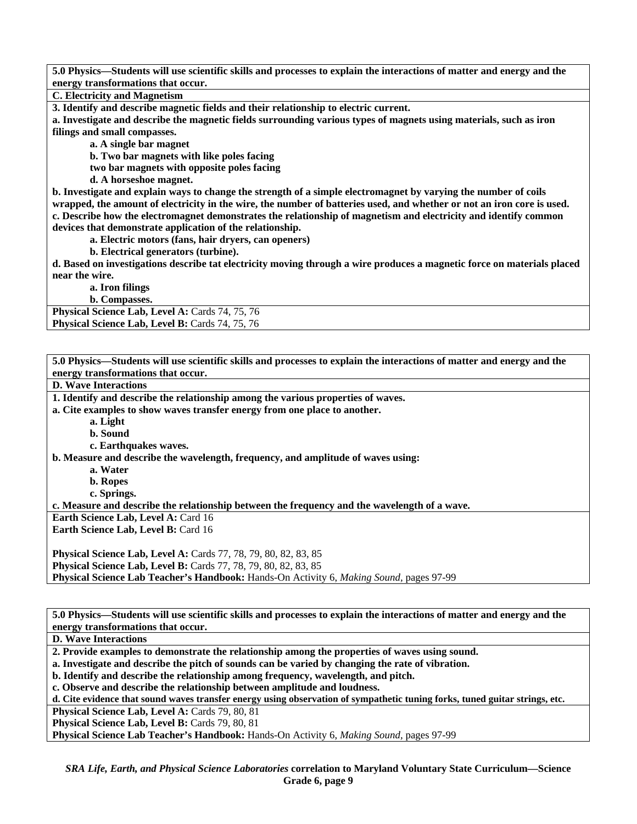**C. Electricity and Magnetism** 

**3. Identify and describe magnetic fields and their relationship to electric current.** 

**a. Investigate and describe the magnetic fields surrounding various types of magnets using materials, such as iron filings and small compasses.** 

 **a. A single bar magnet** 

 **b. Two bar magnets with like poles facing** 

 **two bar magnets with opposite poles facing** 

 **d. A horseshoe magnet.** 

**b. Investigate and explain ways to change the strength of a simple electromagnet by varying the number of coils wrapped, the amount of electricity in the wire, the number of batteries used, and whether or not an iron core is used. c. Describe how the electromagnet demonstrates the relationship of magnetism and electricity and identify common devices that demonstrate application of the relationship.** 

 **a. Electric motors (fans, hair dryers, can openers)** 

 **b. Electrical generators (turbine).** 

**d. Based on investigations describe tat electricity moving through a wire produces a magnetic force on materials placed near the wire.** 

 **a. Iron filings** 

 **b. Compasses.** 

Physical Science Lab, Level A: Cards 74, 75, 76 **Physical Science Lab, Level B: Cards 74, 75, 76** 

**5.0 Physics—Students will use scientific skills and processes to explain the interactions of matter and energy and the energy transformations that occur. D. Wave Interactions 1. Identify and describe the relationship among the various properties of waves. a. Cite examples to show waves transfer energy from one place to another. a. Light b. Sound c. Earthquakes waves. b. Measure and describe the wavelength, frequency, and amplitude of waves using: a. Water b. Ropes c. Springs. c. Measure and describe the relationship between the frequency and the wavelength of a wave. Earth Science Lab, Level A: Card 16 Earth Science Lab, Level B: Card 16 Physical Science Lab, Level A:** Cards 77, 78, 79, 80, 82, 83, 85 **Physical Science Lab, Level B:** Cards 77, 78, 79, 80, 82, 83, 85 **Physical Science Lab Teacher's Handbook:** Hands-On Activity 6, *Making Sound,* pages 97-99 **5.0 Physics—Students will use scientific skills and processes to explain the interactions of matter and energy and the energy transformations that occur. D. Wave Interactions 2. Provide examples to demonstrate the relationship among the properties of waves using sound.** 

**a. Investigate and describe the pitch of sounds can be varied by changing the rate of vibration.** 

**b. Identify and describe the relationship among frequency, wavelength, and pitch.** 

**c. Observe and describe the relationship between amplitude and loudness.** 

**d. Cite evidence that sound waves transfer energy using observation of sympathetic tuning forks, tuned guitar strings, etc.** 

**Physical Science Lab, Level A: Cards 79, 80, 81** 

Physical Science Lab, Level B: Cards 79, 80, 81

**Physical Science Lab Teacher's Handbook:** Hands-On Activity 6, *Making Sound,* pages 97-99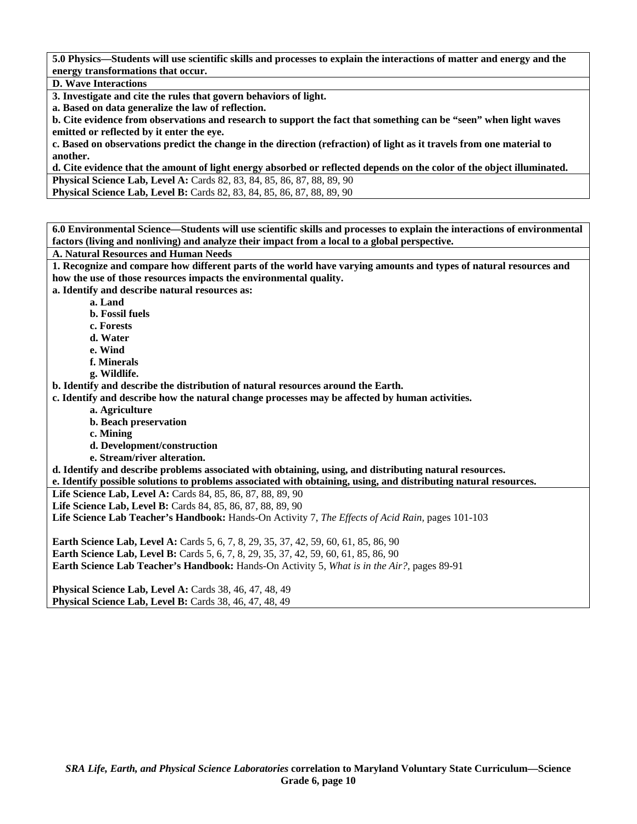### **D. Wave Interactions**

**3. Investigate and cite the rules that govern behaviors of light.** 

**a. Based on data generalize the law of reflection.** 

**b. Cite evidence from observations and research to support the fact that something can be "seen" when light waves emitted or reflected by it enter the eye.** 

**c. Based on observations predict the change in the direction (refraction) of light as it travels from one material to another.** 

**d. Cite evidence that the amount of light energy absorbed or reflected depends on the color of the object illuminated. Physical Science Lab, Level A: Cards 82, 83, 84, 85, 86, 87, 88, 89, 90 Physical Science Lab, Level B:** Cards 82, 83, 84, 85, 86, 87, 88, 89, 90

**6.0 Environmental Science—Students will use scientific skills and processes to explain the interactions of environmental factors (living and nonliving) and analyze their impact from a local to a global perspective.** 

**A. Natural Resources and Human Needs** 

**1. Recognize and compare how different parts of the world have varying amounts and types of natural resources and how the use of those resources impacts the environmental quality.** 

**a. Identify and describe natural resources as:** 

 **a. Land** 

- **b. Fossil fuels**
- **c. Forests**
- **d. Water**
- **e. Wind**
- **f. Minerals**
- **g. Wildlife.**

**b. Identify and describe the distribution of natural resources around the Earth.** 

**c. Identify and describe how the natural change processes may be affected by human activities.** 

- **a. Agriculture**
- **b. Beach preservation**
- **c. Mining**

 **d. Development/construction** 

 **e. Stream/river alteration.** 

**d. Identify and describe problems associated with obtaining, using, and distributing natural resources.** 

**e. Identify possible solutions to problems associated with obtaining, using, and distributing natural resources.** 

**Life Science Lab, Level A:** Cards 84, 85, 86, 87, 88, 89, 90

**Life Science Lab, Level B:** Cards 84, 85, 86, 87, 88, 89, 90

**Life Science Lab Teacher's Handbook:** Hands-On Activity 7, *The Effects of Acid Rain,* pages 101-103

**Earth Science Lab, Level A:** Cards 5, 6, 7, 8, 29, 35, 37, 42, 59, 60, 61, 85, 86, 90 **Earth Science Lab, Level B:** Cards 5, 6, 7, 8, 29, 35, 37, 42, 59, 60, 61, 85, 86, 90 **Earth Science Lab Teacher's Handbook:** Hands-On Activity 5, *What is in the Air?,* pages 89-91

**Physical Science Lab, Level A:** Cards 38, 46, 47, 48, 49 **Physical Science Lab, Level B:** Cards 38, 46, 47, 48, 49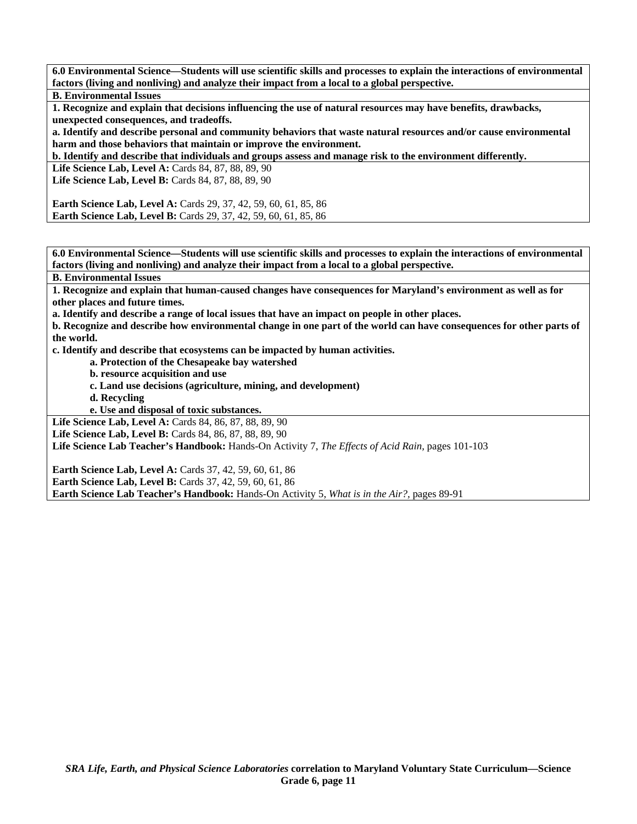**6.0 Environmental Science—Students will use scientific skills and processes to explain the interactions of environmental factors (living and nonliving) and analyze their impact from a local to a global perspective.** 

**B. Environmental Issues** 

**1. Recognize and explain that decisions influencing the use of natural resources may have benefits, drawbacks, unexpected consequences, and tradeoffs.** 

**a. Identify and describe personal and community behaviors that waste natural resources and/or cause environmental harm and those behaviors that maintain or improve the environment.** 

**b. Identify and describe that individuals and groups assess and manage risk to the environment differently.** 

**Life Science Lab, Level A: Cards 84, 87, 88, 89, 90** 

**Life Science Lab, Level B: Cards 84, 87, 88, 89, 90** 

**Earth Science Lab, Level A:** Cards 29, 37, 42, 59, 60, 61, 85, 86 **Earth Science Lab, Level B:** Cards 29, 37, 42, 59, 60, 61, 85, 86

**6.0 Environmental Science—Students will use scientific skills and processes to explain the interactions of environmental factors (living and nonliving) and analyze their impact from a local to a global perspective.** 

**B. Environmental Issues** 

**1. Recognize and explain that human-caused changes have consequences for Maryland's environment as well as for other places and future times.** 

**a. Identify and describe a range of local issues that have an impact on people in other places.** 

**b. Recognize and describe how environmental change in one part of the world can have consequences for other parts of the world.** 

**c. Identify and describe that ecosystems can be impacted by human activities.** 

 **a. Protection of the Chesapeake bay watershed** 

 **b. resource acquisition and use** 

- **c. Land use decisions (agriculture, mining, and development)**
- **d. Recycling**

 **e. Use and disposal of toxic substances.** 

Life Science Lab, Level A: Cards 84, 86, 87, 88, 89, 90

**Life Science Lab, Level B:** Cards 84, 86, 87, 88, 89, 90

**Life Science Lab Teacher's Handbook:** Hands-On Activity 7, *The Effects of Acid Rain,* pages 101-103

**Earth Science Lab, Level A:** Cards 37, 42, 59, 60, 61, 86 **Earth Science Lab, Level B:** Cards 37, 42, 59, 60, 61, 86 **Earth Science Lab Teacher's Handbook:** Hands-On Activity 5, *What is in the Air?,* pages 89-91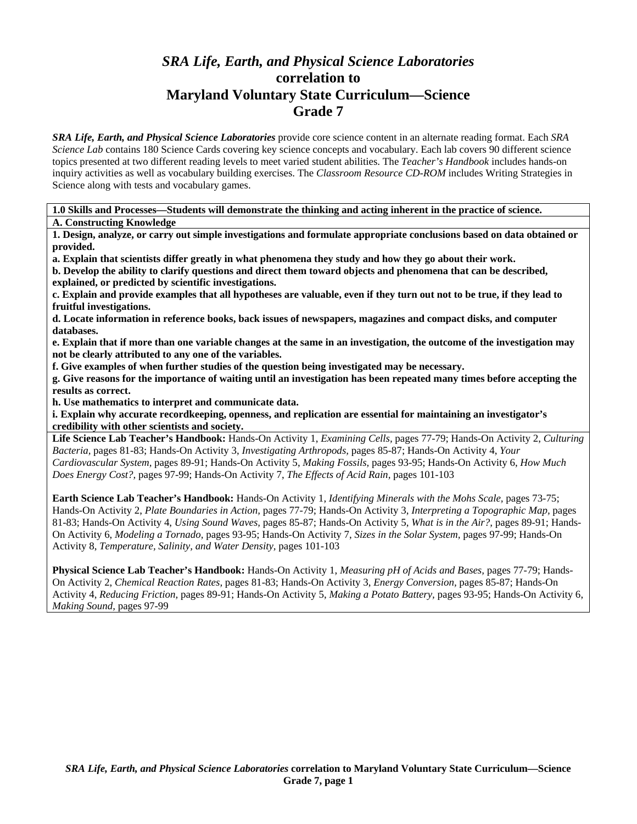# *SRA Life, Earth, and Physical Science Laboratories*  **correlation to Maryland Voluntary State Curriculum—Science Grade 7**

*SRA Life, Earth, and Physical Science Laboratories* provide core science content in an alternate reading format. Each *SRA Science Lab* contains 180 Science Cards covering key science concepts and vocabulary. Each lab covers 90 different science topics presented at two different reading levels to meet varied student abilities. The *Teacher's Handbook* includes hands-on inquiry activities as well as vocabulary building exercises. The *Classroom Resource CD-ROM* includes Writing Strategies in Science along with tests and vocabulary games.

**1.0 Skills and Processes—Students will demonstrate the thinking and acting inherent in the practice of science. A. Constructing Knowledge** 

**1. Design, analyze, or carry out simple investigations and formulate appropriate conclusions based on data obtained or provided.** 

**a. Explain that scientists differ greatly in what phenomena they study and how they go about their work.** 

**b. Develop the ability to clarify questions and direct them toward objects and phenomena that can be described, explained, or predicted by scientific investigations.** 

**c. Explain and provide examples that all hypotheses are valuable, even if they turn out not to be true, if they lead to fruitful investigations.** 

**d. Locate information in reference books, back issues of newspapers, magazines and compact disks, and computer databases.** 

**e. Explain that if more than one variable changes at the same in an investigation, the outcome of the investigation may not be clearly attributed to any one of the variables.** 

**f. Give examples of when further studies of the question being investigated may be necessary.** 

**g. Give reasons for the importance of waiting until an investigation has been repeated many times before accepting the results as correct.** 

**h. Use mathematics to interpret and communicate data.** 

**i. Explain why accurate recordkeeping, openness, and replication are essential for maintaining an investigator's credibility with other scientists and society.** 

**Life Science Lab Teacher's Handbook:** Hands-On Activity 1, *Examining Cells,* pages 77-79; Hands-On Activity 2, *Culturing Bacteria,* pages 81-83; Hands-On Activity 3, *Investigating Arthropods,* pages 85-87; Hands-On Activity 4, *Your Cardiovascular System,* pages 89-91; Hands-On Activity 5, *Making Fossils,* pages 93-95; Hands-On Activity 6, *How Much Does Energy Cost?,* pages 97-99; Hands-On Activity 7, *The Effects of Acid Rain,* pages 101-103

**Earth Science Lab Teacher's Handbook:** Hands-On Activity 1, *Identifying Minerals with the Mohs Scale,* pages 73-75; Hands-On Activity 2, *Plate Boundaries in Action,* pages 77-79; Hands-On Activity 3, *Interpreting a Topographic Map,* pages 81-83; Hands-On Activity 4, *Using Sound Waves,* pages 85-87; Hands-On Activity 5, *What is in the Air?,* pages 89-91; Hands-On Activity 6, *Modeling a Tornado,* pages 93-95; Hands-On Activity 7, *Sizes in the Solar System,* pages 97-99; Hands-On Activity 8, *Temperature, Salinity, and Water Density,* pages 101-103

**Physical Science Lab Teacher's Handbook:** Hands-On Activity 1, *Measuring pH of Acids and Bases,* pages 77-79; Hands-On Activity 2, *Chemical Reaction Rates,* pages 81-83; Hands-On Activity 3, *Energy Conversion,* pages 85-87; Hands-On Activity 4, *Reducing Friction,* pages 89-91; Hands-On Activity 5, *Making a Potato Battery,* pages 93-95; Hands-On Activity 6, *Making Sound,* pages 97-99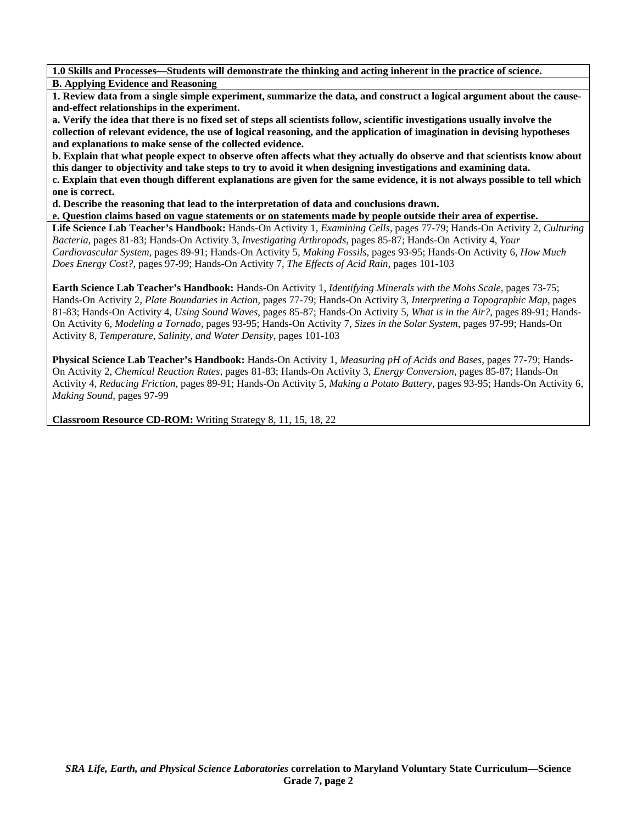**1.0 Skills and Processes—Students will demonstrate the thinking and acting inherent in the practice of science. B. Applying Evidence and Reasoning** 

**1. Review data from a single simple experiment, summarize the data, and construct a logical argument about the causeand-effect relationships in the experiment.** 

**a. Verify the idea that there is no fixed set of steps all scientists follow, scientific investigations usually involve the collection of relevant evidence, the use of logical reasoning, and the application of imagination in devising hypotheses and explanations to make sense of the collected evidence.** 

**b. Explain that what people expect to observe often affects what they actually do observe and that scientists know about this danger to objectivity and take steps to try to avoid it when designing investigations and examining data. c. Explain that even though different explanations are given for the same evidence, it is not always possible to tell which one is correct.** 

**d. Describe the reasoning that lead to the interpretation of data and conclusions drawn.** 

**e. Question claims based on vague statements or on statements made by people outside their area of expertise.** 

**Life Science Lab Teacher's Handbook:** Hands-On Activity 1, *Examining Cells,* pages 77-79; Hands-On Activity 2, *Culturing Bacteria,* pages 81-83; Hands-On Activity 3, *Investigating Arthropods,* pages 85-87; Hands-On Activity 4, *Your Cardiovascular System,* pages 89-91; Hands-On Activity 5, *Making Fossils,* pages 93-95; Hands-On Activity 6, *How Much Does Energy Cost?,* pages 97-99; Hands-On Activity 7, *The Effects of Acid Rain,* pages 101-103

**Earth Science Lab Teacher's Handbook:** Hands-On Activity 1, *Identifying Minerals with the Mohs Scale,* pages 73-75; Hands-On Activity 2, *Plate Boundaries in Action,* pages 77-79; Hands-On Activity 3, *Interpreting a Topographic Map,* pages 81-83; Hands-On Activity 4, *Using Sound Waves,* pages 85-87; Hands-On Activity 5, *What is in the Air?,* pages 89-91; Hands-On Activity 6, *Modeling a Tornado,* pages 93-95; Hands-On Activity 7, *Sizes in the Solar System,* pages 97-99; Hands-On Activity 8, *Temperature, Salinity, and Water Density,* pages 101-103

**Physical Science Lab Teacher's Handbook:** Hands-On Activity 1, *Measuring pH of Acids and Bases,* pages 77-79; Hands-On Activity 2, *Chemical Reaction Rates,* pages 81-83; Hands-On Activity 3, *Energy Conversion,* pages 85-87; Hands-On Activity 4, *Reducing Friction,* pages 89-91; Hands-On Activity 5, *Making a Potato Battery,* pages 93-95; Hands-On Activity 6, *Making Sound,* pages 97-99

**Classroom Resource CD-ROM:** Writing Strategy 8, 11, 15, 18, 22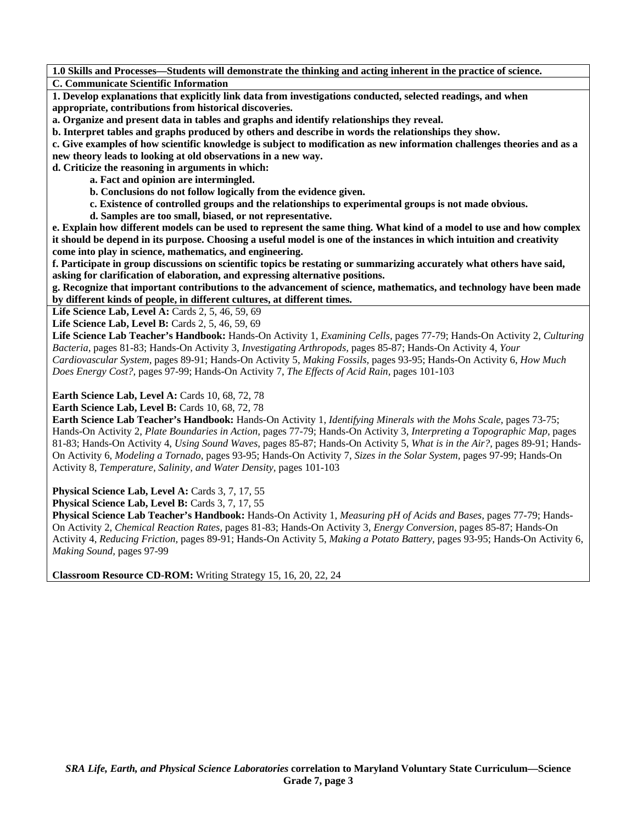**1.0 Skills and Processes—Students will demonstrate the thinking and acting inherent in the practice of science. C. Communicate Scientific Information** 

**1. Develop explanations that explicitly link data from investigations conducted, selected readings, and when appropriate, contributions from historical discoveries.** 

**a. Organize and present data in tables and graphs and identify relationships they reveal.** 

**b. Interpret tables and graphs produced by others and describe in words the relationships they show.** 

**c. Give examples of how scientific knowledge is subject to modification as new information challenges theories and as a new theory leads to looking at old observations in a new way.** 

**d. Criticize the reasoning in arguments in which:** 

 **a. Fact and opinion are intermingled.** 

 **b. Conclusions do not follow logically from the evidence given.** 

 **c. Existence of controlled groups and the relationships to experimental groups is not made obvious.** 

 **d. Samples are too small, biased, or not representative.** 

**e. Explain how different models can be used to represent the same thing. What kind of a model to use and how complex it should be depend in its purpose. Choosing a useful model is one of the instances in which intuition and creativity come into play in science, mathematics, and engineering.** 

**f. Participate in group discussions on scientific topics be restating or summarizing accurately what others have said, asking for clarification of elaboration, and expressing alternative positions.** 

**g. Recognize that important contributions to the advancement of science, mathematics, and technology have been made by different kinds of people, in different cultures, at different times.** 

Life Science Lab, Level A: Cards 2, 5, 46, 59, 69

**Life Science Lab, Level B: Cards 2, 5, 46, 59, 69** 

**Life Science Lab Teacher's Handbook:** Hands-On Activity 1, *Examining Cells,* pages 77-79; Hands-On Activity 2, *Culturing Bacteria,* pages 81-83; Hands-On Activity 3, *Investigating Arthropods,* pages 85-87; Hands-On Activity 4, *Your Cardiovascular System,* pages 89-91; Hands-On Activity 5, *Making Fossils,* pages 93-95; Hands-On Activity 6, *How Much Does Energy Cost?,* pages 97-99; Hands-On Activity 7, *The Effects of Acid Rain,* pages 101-103

**Earth Science Lab, Level A: Cards 10, 68, 72, 78** 

**Earth Science Lab, Level B: Cards 10, 68, 72, 78** 

**Earth Science Lab Teacher's Handbook:** Hands-On Activity 1, *Identifying Minerals with the Mohs Scale,* pages 73-75; Hands-On Activity 2, *Plate Boundaries in Action,* pages 77-79; Hands-On Activity 3, *Interpreting a Topographic Map,* pages 81-83; Hands-On Activity 4, *Using Sound Waves,* pages 85-87; Hands-On Activity 5, *What is in the Air?,* pages 89-91; Hands-On Activity 6, *Modeling a Tornado,* pages 93-95; Hands-On Activity 7, *Sizes in the Solar System,* pages 97-99; Hands-On Activity 8, *Temperature, Salinity, and Water Density,* pages 101-103

Physical Science Lab, Level A: Cards 3, 7, 17, 55

Physical Science Lab, Level B: Cards 3, 7, 17, 55

**Physical Science Lab Teacher's Handbook:** Hands-On Activity 1, *Measuring pH of Acids and Bases,* pages 77-79; Hands-On Activity 2, *Chemical Reaction Rates,* pages 81-83; Hands-On Activity 3, *Energy Conversion,* pages 85-87; Hands-On Activity 4, *Reducing Friction,* pages 89-91; Hands-On Activity 5, *Making a Potato Battery,* pages 93-95; Hands-On Activity 6, *Making Sound,* pages 97-99

**Classroom Resource CD-ROM:** Writing Strategy 15, 16, 20, 22, 24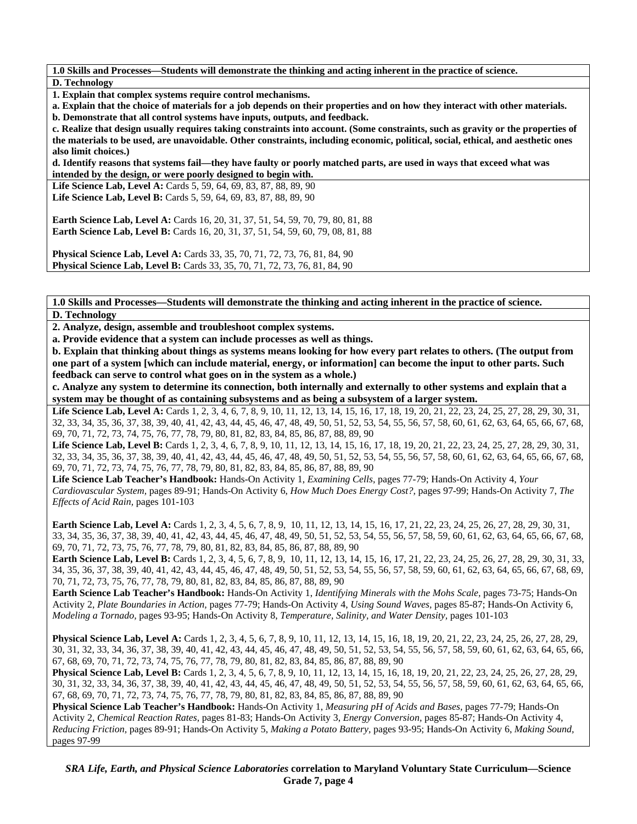**1.0 Skills and Processes—Students will demonstrate the thinking and acting inherent in the practice of science. D. Technology** 

**1. Explain that complex systems require control mechanisms.** 

**a. Explain that the choice of materials for a job depends on their properties and on how they interact with other materials.** 

**b. Demonstrate that all control systems have inputs, outputs, and feedback.** 

**c. Realize that design usually requires taking constraints into account. (Some constraints, such as gravity or the properties of the materials to be used, are unavoidable. Other constraints, including economic, political, social, ethical, and aesthetic ones also limit choices.)** 

**d. Identify reasons that systems fail—they have faulty or poorly matched parts, are used in ways that exceed what was intended by the design, or were poorly designed to begin with.** 

Life Science Lab, Level A: Cards 5, 59, 64, 69, 83, 87, 88, 89, 90 Life Science Lab, Level B: Cards 5, 59, 64, 69, 83, 87, 88, 89, 90

**Earth Science Lab, Level A:** Cards 16, 20, 31, 37, 51, 54, 59, 70, 79, 80, 81, 88 **Earth Science Lab, Level B:** Cards 16, 20, 31, 37, 51, 54, 59, 60, 79, 08, 81, 88

**Physical Science Lab, Level A: Cards 33, 35, 70, 71, 72, 73, 76, 81, 84, 90 Physical Science Lab, Level B:** Cards 33, 35, 70, 71, 72, 73, 76, 81, 84, 90

**1.0 Skills and Processes—Students will demonstrate the thinking and acting inherent in the practice of science. D. Technology** 

**2. Analyze, design, assemble and troubleshoot complex systems.** 

**a. Provide evidence that a system can include processes as well as things.** 

**b. Explain that thinking about things as systems means looking for how every part relates to others. (The output from one part of a system [which can include material, energy, or information] can become the input to other parts. Such feedback can serve to control what goes on in the system as a whole.)** 

**c. Analyze any system to determine its connection, both internally and externally to other systems and explain that a system may be thought of as containing subsystems and as being a subsystem of a larger system.** 

Life Science Lab, Level A: Cards 1, 2, 3, 4, 6, 7, 8, 9, 10, 11, 12, 13, 14, 15, 16, 17, 18, 19, 20, 21, 22, 23, 24, 25, 27, 28, 29, 30, 31, 32, 33, 34, 35, 36, 37, 38, 39, 40, 41, 42, 43, 44, 45, 46, 47, 48, 49, 50, 51, 52, 53, 54, 55, 56, 57, 58, 60, 61, 62, 63, 64, 65, 66, 67, 68, 69, 70, 71, 72, 73, 74, 75, 76, 77, 78, 79, 80, 81, 82, 83, 84, 85, 86, 87, 88, 89, 90

Life Science Lab, Level B: Cards 1, 2, 3, 4, 6, 7, 8, 9, 10, 11, 12, 13, 14, 15, 16, 17, 18, 19, 20, 21, 22, 23, 24, 25, 27, 28, 29, 30, 31, 32, 33, 34, 35, 36, 37, 38, 39, 40, 41, 42, 43, 44, 45, 46, 47, 48, 49, 50, 51, 52, 53, 54, 55, 56, 57, 58, 60, 61, 62, 63, 64, 65, 66, 67, 68, 69, 70, 71, 72, 73, 74, 75, 76, 77, 78, 79, 80, 81, 82, 83, 84, 85, 86, 87, 88, 89, 90

**Life Science Lab Teacher's Handbook:** Hands-On Activity 1, *Examining Cells,* pages 77-79; Hands-On Activity 4, *Your Cardiovascular System,* pages 89-91; Hands-On Activity 6, *How Much Does Energy Cost?,* pages 97-99; Hands-On Activity 7, *The Effects of Acid Rain,* pages 101-103

**Earth Science Lab, Level A:** Cards 1, 2, 3, 4, 5, 6, 7, 8, 9, 10, 11, 12, 13, 14, 15, 16, 17, 21, 22, 23, 24, 25, 26, 27, 28, 29, 30, 31, 33, 34, 35, 36, 37, 38, 39, 40, 41, 42, 43, 44, 45, 46, 47, 48, 49, 50, 51, 52, 53, 54, 55, 56, 57, 58, 59, 60, 61, 62, 63, 64, 65, 66, 67, 68, 69, 70, 71, 72, 73, 75, 76, 77, 78, 79, 80, 81, 82, 83, 84, 85, 86, 87, 88, 89, 90

**Earth Science Lab, Level B:** Cards 1, 2, 3, 4, 5, 6, 7, 8, 9, 10, 11, 12, 13, 14, 15, 16, 17, 21, 22, 23, 24, 25, 26, 27, 28, 29, 30, 31, 33, 34, 35, 36, 37, 38, 39, 40, 41, 42, 43, 44, 45, 46, 47, 48, 49, 50, 51, 52, 53, 54, 55, 56, 57, 58, 59, 60, 61, 62, 63, 64, 65, 66, 67, 68, 69, 70, 71, 72, 73, 75, 76, 77, 78, 79, 80, 81, 82, 83, 84, 85, 86, 87, 88, 89, 90

**Earth Science Lab Teacher's Handbook:** Hands-On Activity 1, *Identifying Minerals with the Mohs Scale,* pages 73-75; Hands-On Activity 2, *Plate Boundaries in Action,* pages 77-79; Hands-On Activity 4, *Using Sound Waves,* pages 85-87; Hands-On Activity 6, *Modeling a Tornado,* pages 93-95; Hands-On Activity 8, *Temperature, Salinity, and Water Density,* pages 101-103

**Physical Science Lab, Level A:** Cards 1, 2, 3, 4, 5, 6, 7, 8, 9, 10, 11, 12, 13, 14, 15, 16, 18, 19, 20, 21, 22, 23, 24, 25, 26, 27, 28, 29, 30, 31, 32, 33, 34, 36, 37, 38, 39, 40, 41, 42, 43, 44, 45, 46, 47, 48, 49, 50, 51, 52, 53, 54, 55, 56, 57, 58, 59, 60, 61, 62, 63, 64, 65, 66, 67, 68, 69, 70, 71, 72, 73, 74, 75, 76, 77, 78, 79, 80, 81, 82, 83, 84, 85, 86, 87, 88, 89, 90

**Physical Science Lab, Level B:** Cards 1, 2, 3, 4, 5, 6, 7, 8, 9, 10, 11, 12, 13, 14, 15, 16, 18, 19, 20, 21, 22, 23, 24, 25, 26, 27, 28, 29, 30, 31, 32, 33, 34, 36, 37, 38, 39, 40, 41, 42, 43, 44, 45, 46, 47, 48, 49, 50, 51, 52, 53, 54, 55, 56, 57, 58, 59, 60, 61, 62, 63, 64, 65, 66, 67, 68, 69, 70, 71, 72, 73, 74, 75, 76, 77, 78, 79, 80, 81, 82, 83, 84, 85, 86, 87, 88, 89, 90

**Physical Science Lab Teacher's Handbook:** Hands-On Activity 1, *Measuring pH of Acids and Bases,* pages 77-79; Hands-On Activity 2, *Chemical Reaction Rates,* pages 81-83; Hands-On Activity 3, *Energy Conversion,* pages 85-87; Hands-On Activity 4, *Reducing Friction,* pages 89-91; Hands-On Activity 5, *Making a Potato Battery,* pages 93-95; Hands-On Activity 6, *Making Sound,* pages 97-99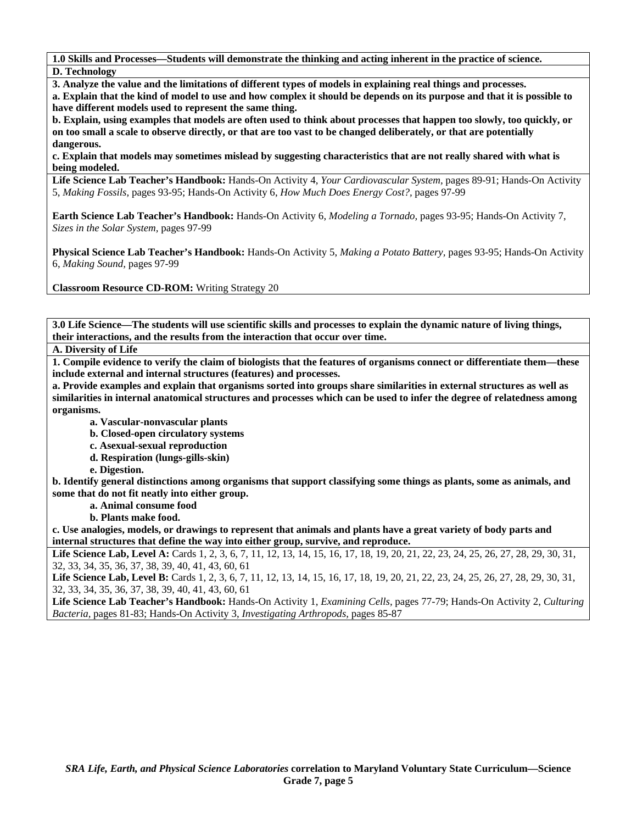**1.0 Skills and Processes—Students will demonstrate the thinking and acting inherent in the practice of science. D. Technology** 

**3. Analyze the value and the limitations of different types of models in explaining real things and processes.** 

**a. Explain that the kind of model to use and how complex it should be depends on its purpose and that it is possible to have different models used to represent the same thing.** 

**b. Explain, using examples that models are often used to think about processes that happen too slowly, too quickly, or on too small a scale to observe directly, or that are too vast to be changed deliberately, or that are potentially dangerous.** 

**c. Explain that models may sometimes mislead by suggesting characteristics that are not really shared with what is being modeled.** 

**Life Science Lab Teacher's Handbook:** Hands-On Activity 4, *Your Cardiovascular System,* pages 89-91; Hands-On Activity 5, *Making Fossils,* pages 93-95; Hands-On Activity 6, *How Much Does Energy Cost?,* pages 97-99

**Earth Science Lab Teacher's Handbook:** Hands-On Activity 6, *Modeling a Tornado,* pages 93-95; Hands-On Activity 7, *Sizes in the Solar System,* pages 97-99

**Physical Science Lab Teacher's Handbook:** Hands-On Activity 5, *Making a Potato Battery,* pages 93-95; Hands-On Activity 6, *Making Sound,* pages 97-99

**Classroom Resource CD-ROM:** Writing Strategy 20

**3.0 Life Science—The students will use scientific skills and processes to explain the dynamic nature of living things, their interactions, and the results from the interaction that occur over time.** 

**A. Diversity of Life** 

**1. Compile evidence to verify the claim of biologists that the features of organisms connect or differentiate them—these include external and internal structures (features) and processes.** 

**a. Provide examples and explain that organisms sorted into groups share similarities in external structures as well as similarities in internal anatomical structures and processes which can be used to infer the degree of relatedness among organisms.** 

- **a. Vascular-nonvascular plants**
- **b. Closed-open circulatory systems**
- **c. Asexual-sexual reproduction**
- **d. Respiration (lungs-gills-skin)**

 **e. Digestion.** 

**b. Identify general distinctions among organisms that support classifying some things as plants, some as animals, and some that do not fit neatly into either group.** 

 **a. Animal consume food** 

 **b. Plants make food.** 

**c. Use analogies, models, or drawings to represent that animals and plants have a great variety of body parts and internal structures that define the way into either group, survive, and reproduce.** 

Life Science Lab, Level A: Cards 1, 2, 3, 6, 7, 11, 12, 13, 14, 15, 16, 17, 18, 19, 20, 21, 22, 23, 24, 25, 26, 27, 28, 29, 30, 31, 32, 33, 34, 35, 36, 37, 38, 39, 40, 41, 43, 60, 61

Life Science Lab, Level B: Cards 1, 2, 3, 6, 7, 11, 12, 13, 14, 15, 16, 17, 18, 19, 20, 21, 22, 23, 24, 25, 26, 27, 28, 29, 30, 31, 32, 33, 34, 35, 36, 37, 38, 39, 40, 41, 43, 60, 61

**Life Science Lab Teacher's Handbook:** Hands-On Activity 1, *Examining Cells,* pages 77-79; Hands-On Activity 2, *Culturing Bacteria,* pages 81-83; Hands-On Activity 3, *Investigating Arthropods,* pages 85-87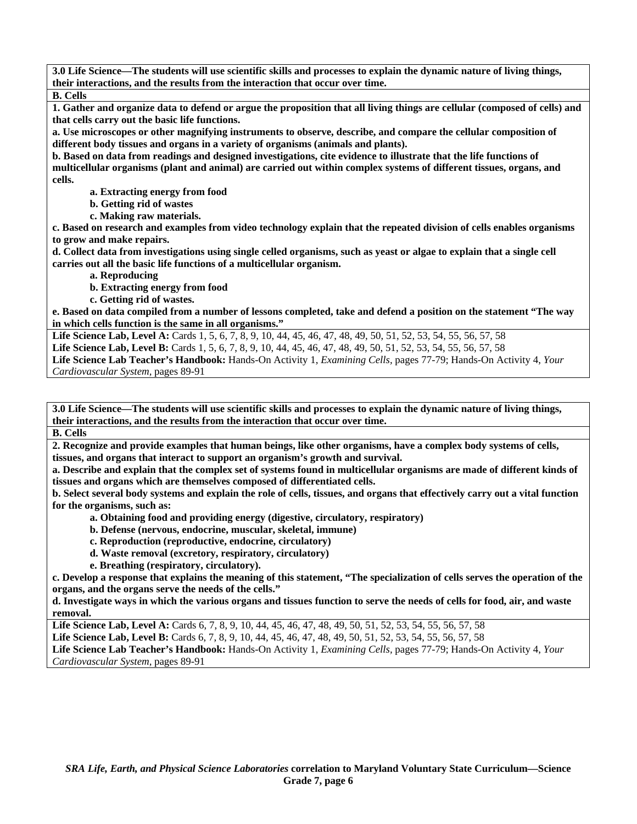**3.0 Life Science—The students will use scientific skills and processes to explain the dynamic nature of living things, their interactions, and the results from the interaction that occur over time.** 

**B. Cells** 

**1. Gather and organize data to defend or argue the proposition that all living things are cellular (composed of cells) and that cells carry out the basic life functions.** 

**a. Use microscopes or other magnifying instruments to observe, describe, and compare the cellular composition of different body tissues and organs in a variety of organisms (animals and plants).** 

**b. Based on data from readings and designed investigations, cite evidence to illustrate that the life functions of multicellular organisms (plant and animal) are carried out within complex systems of different tissues, organs, and cells.** 

 **a. Extracting energy from food** 

 **b. Getting rid of wastes** 

 **c. Making raw materials.** 

**c. Based on research and examples from video technology explain that the repeated division of cells enables organisms to grow and make repairs.** 

**d. Collect data from investigations using single celled organisms, such as yeast or algae to explain that a single cell carries out all the basic life functions of a multicellular organism.** 

 **a. Reproducing** 

 **b. Extracting energy from food** 

 **c. Getting rid of wastes.** 

**e. Based on data compiled from a number of lessons completed, take and defend a position on the statement "The way in which cells function is the same in all organisms."** 

**Life Science Lab, Level A:** Cards 1, 5, 6, 7, 8, 9, 10, 44, 45, 46, 47, 48, 49, 50, 51, 52, 53, 54, 55, 56, 57, 58 Life Science Lab, Level B: Cards 1, 5, 6, 7, 8, 9, 10, 44, 45, 46, 47, 48, 49, 50, 51, 52, 53, 54, 55, 56, 57, 58 **Life Science Lab Teacher's Handbook:** Hands-On Activity 1, *Examining Cells,* pages 77-79; Hands-On Activity 4, *Your Cardiovascular System,* pages 89-91

**3.0 Life Science—The students will use scientific skills and processes to explain the dynamic nature of living things, their interactions, and the results from the interaction that occur over time.** 

**B. Cells** 

**2. Recognize and provide examples that human beings, like other organisms, have a complex body systems of cells, tissues, and organs that interact to support an organism's growth and survival.** 

**a. Describe and explain that the complex set of systems found in multicellular organisms are made of different kinds of tissues and organs which are themselves composed of differentiated cells.** 

**b. Select several body systems and explain the role of cells, tissues, and organs that effectively carry out a vital function for the organisms, such as:** 

 **a. Obtaining food and providing energy (digestive, circulatory, respiratory)** 

 **b. Defense (nervous, endocrine, muscular, skeletal, immune)** 

 **c. Reproduction (reproductive, endocrine, circulatory)** 

 **d. Waste removal (excretory, respiratory, circulatory)** 

 **e. Breathing (respiratory, circulatory).** 

**c. Develop a response that explains the meaning of this statement, "The specialization of cells serves the operation of the organs, and the organs serve the needs of the cells."** 

**d. Investigate ways in which the various organs and tissues function to serve the needs of cells for food, air, and waste removal.** 

**Life Science Lab, Level A:** Cards 6, 7, 8, 9, 10, 44, 45, 46, 47, 48, 49, 50, 51, 52, 53, 54, 55, 56, 57, 58

**Life Science Lab, Level B:** Cards 6, 7, 8, 9, 10, 44, 45, 46, 47, 48, 49, 50, 51, 52, 53, 54, 55, 56, 57, 58

**Life Science Lab Teacher's Handbook:** Hands-On Activity 1, *Examining Cells,* pages 77-79; Hands-On Activity 4, *Your Cardiovascular System,* pages 89-91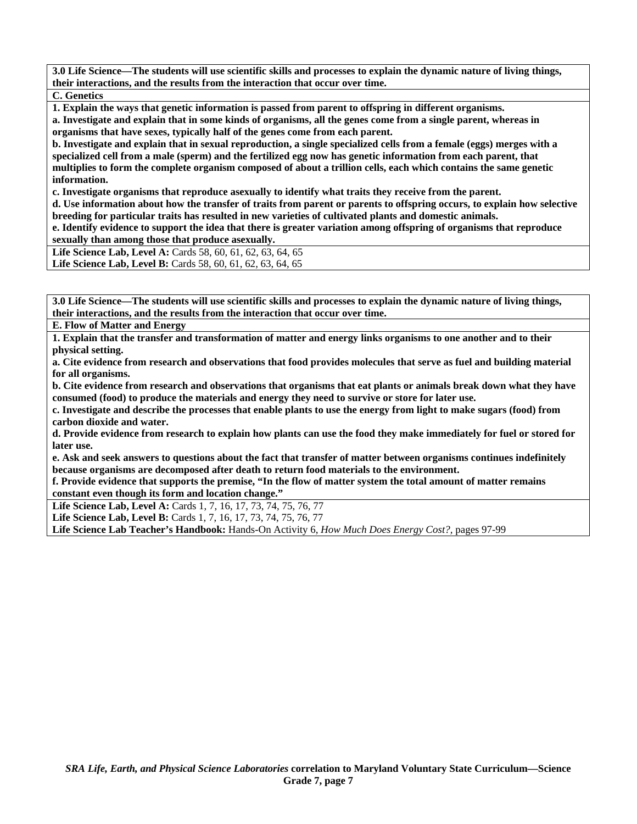**3.0 Life Science—The students will use scientific skills and processes to explain the dynamic nature of living things, their interactions, and the results from the interaction that occur over time.** 

**C. Genetics** 

**1. Explain the ways that genetic information is passed from parent to offspring in different organisms.** 

**a. Investigate and explain that in some kinds of organisms, all the genes come from a single parent, whereas in organisms that have sexes, typically half of the genes come from each parent.** 

**b. Investigate and explain that in sexual reproduction, a single specialized cells from a female (eggs) merges with a specialized cell from a male (sperm) and the fertilized egg now has genetic information from each parent, that multiplies to form the complete organism composed of about a trillion cells, each which contains the same genetic information.** 

**c. Investigate organisms that reproduce asexually to identify what traits they receive from the parent.** 

**d. Use information about how the transfer of traits from parent or parents to offspring occurs, to explain how selective breeding for particular traits has resulted in new varieties of cultivated plants and domestic animals.** 

**e. Identify evidence to support the idea that there is greater variation among offspring of organisms that reproduce sexually than among those that produce asexually.** 

Life Science Lab, Level A: Cards 58, 60, 61, 62, 63, 64, 65 Life Science Lab, Level B: Cards 58, 60, 61, 62, 63, 64, 65

**3.0 Life Science—The students will use scientific skills and processes to explain the dynamic nature of living things, their interactions, and the results from the interaction that occur over time.** 

**E. Flow of Matter and Energy** 

**1. Explain that the transfer and transformation of matter and energy links organisms to one another and to their physical setting.** 

**a. Cite evidence from research and observations that food provides molecules that serve as fuel and building material for all organisms.** 

**b. Cite evidence from research and observations that organisms that eat plants or animals break down what they have consumed (food) to produce the materials and energy they need to survive or store for later use.** 

**c. Investigate and describe the processes that enable plants to use the energy from light to make sugars (food) from carbon dioxide and water.** 

**d. Provide evidence from research to explain how plants can use the food they make immediately for fuel or stored for later use.** 

**e. Ask and seek answers to questions about the fact that transfer of matter between organisms continues indefinitely because organisms are decomposed after death to return food materials to the environment.** 

**f. Provide evidence that supports the premise, "In the flow of matter system the total amount of matter remains constant even though its form and location change."** 

Life Science Lab, Level A: Cards 1, 7, 16, 17, 73, 74, 75, 76, 77

Life Science Lab, Level B: Cards 1, 7, 16, 17, 73, 74, 75, 76, 77

**Life Science Lab Teacher's Handbook:** Hands-On Activity 6, *How Much Does Energy Cost?,* pages 97-99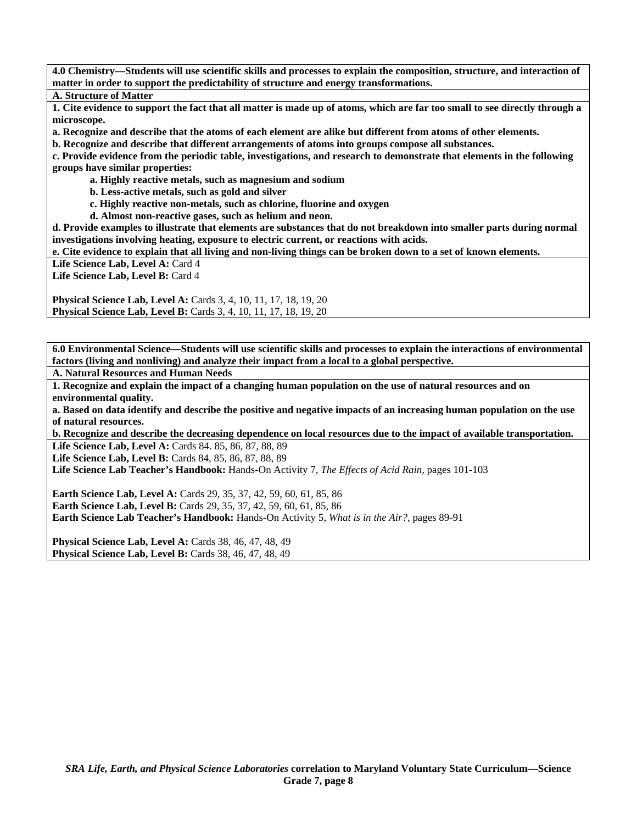**4.0 Chemistry—Students will use scientific skills and processes to explain the composition, structure, and interaction of matter in order to support the predictability of structure and energy transformations.** 

**A. Structure of Matter** 

**1. Cite evidence to support the fact that all matter is made up of atoms, which are far too small to see directly through a microscope.** 

**a. Recognize and describe that the atoms of each element are alike but different from atoms of other elements.** 

**b. Recognize and describe that different arrangements of atoms into groups compose all substances.** 

**c. Provide evidence from the periodic table, investigations, and research to demonstrate that elements in the following groups have similar properties:** 

 **a. Highly reactive metals, such as magnesium and sodium** 

 **b. Less-active metals, such as gold and silver** 

 **c. Highly reactive non-metals, such as chlorine, fluorine and oxygen** 

 **d. Almost non-reactive gases, such as helium and neon.** 

**d. Provide examples to illustrate that elements are substances that do not breakdown into smaller parts during normal investigations involving heating, exposure to electric current, or reactions with acids.** 

**e. Cite evidence to explain that all living and non-living things can be broken down to a set of known elements.** 

Life Science Lab, Level A: Card 4

Life Science Lab, Level B: Card 4

**Physical Science Lab, Level A:** Cards 3, 4, 10, 11, 17, 18, 19, 20 **Physical Science Lab, Level B:** Cards 3, 4, 10, 11, 17, 18, 19, 20

**6.0 Environmental Science—Students will use scientific skills and processes to explain the interactions of environmental factors (living and nonliving) and analyze their impact from a local to a global perspective.** 

**A. Natural Resources and Human Needs** 

**1. Recognize and explain the impact of a changing human population on the use of natural resources and on environmental quality.** 

**a. Based on data identify and describe the positive and negative impacts of an increasing human population on the use of natural resources.** 

**b. Recognize and describe the decreasing dependence on local resources due to the impact of available transportation. Life Science Lab, Level A:** Cards 84. 85, 86, 87, 88, 89

**Life Science Lab, Level B:** Cards 84, 85, 86, 87, 88, 89

**Life Science Lab Teacher's Handbook:** Hands-On Activity 7, *The Effects of Acid Rain,* pages 101-103

**Earth Science Lab, Level A: Cards 29, 35, 37, 42, 59, 60, 61, 85, 86 Earth Science Lab, Level B:** Cards 29, 35, 37, 42, 59, 60, 61, 85, 86 **Earth Science Lab Teacher's Handbook:** Hands-On Activity 5, *What is in the Air?,* pages 89-91

**Physical Science Lab, Level A: Cards 38, 46, 47, 48, 49 Physical Science Lab, Level B: Cards 38, 46, 47, 48, 49**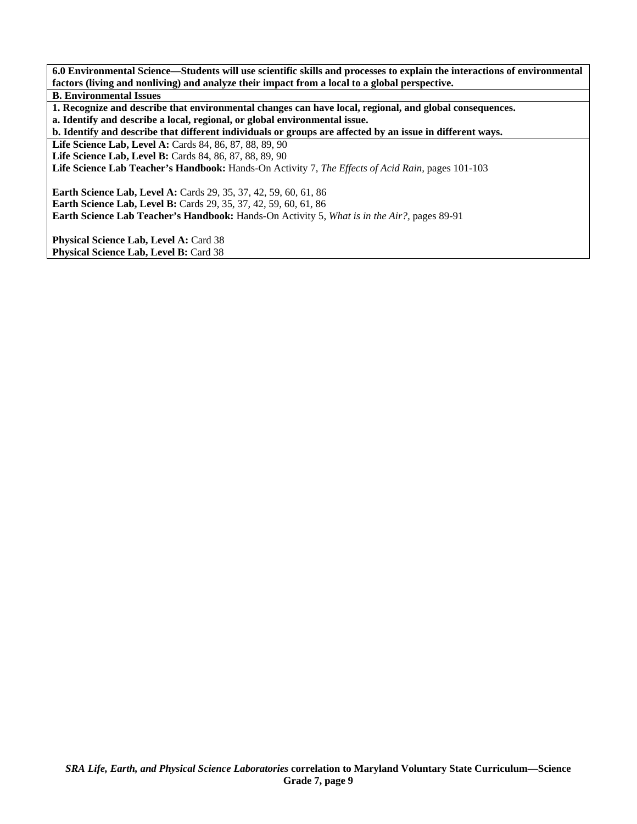**6.0 Environmental Science—Students will use scientific skills and processes to explain the interactions of environmental factors (living and nonliving) and analyze their impact from a local to a global perspective.** 

**B. Environmental Issues** 

**1. Recognize and describe that environmental changes can have local, regional, and global consequences.** 

**a. Identify and describe a local, regional, or global environmental issue.** 

**b. Identify and describe that different individuals or groups are affected by an issue in different ways.** 

**Life Science Lab, Level A:** Cards 84, 86, 87, 88, 89, 90

**Life Science Lab, Level B:** Cards 84, 86, 87, 88, 89, 90

**Life Science Lab Teacher's Handbook:** Hands-On Activity 7, *The Effects of Acid Rain,* pages 101-103

**Earth Science Lab, Level A:** Cards 29, 35, 37, 42, 59, 60, 61, 86 **Earth Science Lab, Level B:** Cards 29, 35, 37, 42, 59, 60, 61, 86 **Earth Science Lab Teacher's Handbook:** Hands-On Activity 5, *What is in the Air?,* pages 89-91

Physical Science Lab, Level A: Card 38 Physical Science Lab, Level B: Card 38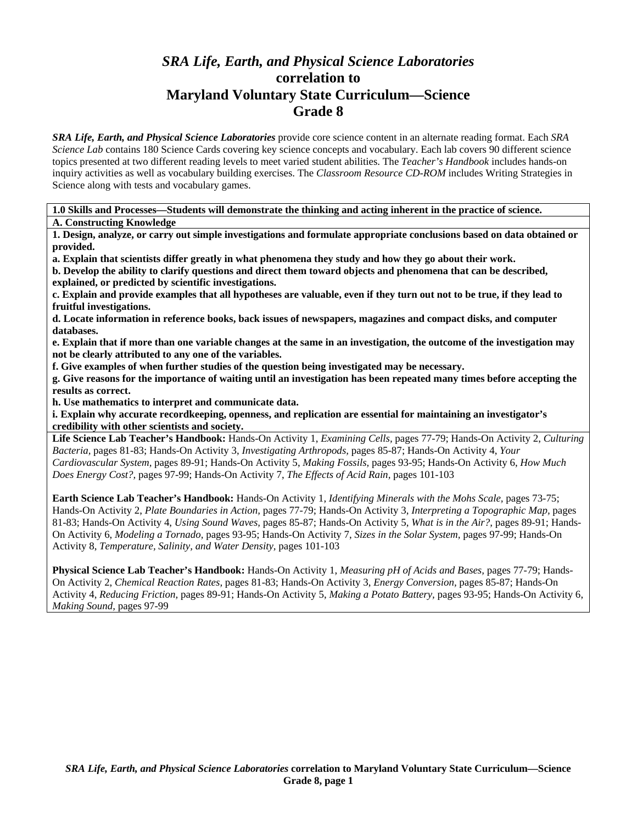# *SRA Life, Earth, and Physical Science Laboratories*  **correlation to Maryland Voluntary State Curriculum—Science Grade 8**

*SRA Life, Earth, and Physical Science Laboratories* provide core science content in an alternate reading format. Each *SRA Science Lab* contains 180 Science Cards covering key science concepts and vocabulary. Each lab covers 90 different science topics presented at two different reading levels to meet varied student abilities. The *Teacher's Handbook* includes hands-on inquiry activities as well as vocabulary building exercises. The *Classroom Resource CD-ROM* includes Writing Strategies in Science along with tests and vocabulary games.

**1.0 Skills and Processes—Students will demonstrate the thinking and acting inherent in the practice of science. A. Constructing Knowledge** 

**1. Design, analyze, or carry out simple investigations and formulate appropriate conclusions based on data obtained or provided.** 

**a. Explain that scientists differ greatly in what phenomena they study and how they go about their work.** 

**b. Develop the ability to clarify questions and direct them toward objects and phenomena that can be described, explained, or predicted by scientific investigations.** 

**c. Explain and provide examples that all hypotheses are valuable, even if they turn out not to be true, if they lead to fruitful investigations.** 

**d. Locate information in reference books, back issues of newspapers, magazines and compact disks, and computer databases.** 

**e. Explain that if more than one variable changes at the same in an investigation, the outcome of the investigation may not be clearly attributed to any one of the variables.** 

**f. Give examples of when further studies of the question being investigated may be necessary.** 

**g. Give reasons for the importance of waiting until an investigation has been repeated many times before accepting the results as correct.** 

**h. Use mathematics to interpret and communicate data.** 

**i. Explain why accurate recordkeeping, openness, and replication are essential for maintaining an investigator's credibility with other scientists and society.** 

**Life Science Lab Teacher's Handbook:** Hands-On Activity 1, *Examining Cells,* pages 77-79; Hands-On Activity 2, *Culturing Bacteria,* pages 81-83; Hands-On Activity 3, *Investigating Arthropods,* pages 85-87; Hands-On Activity 4, *Your Cardiovascular System,* pages 89-91; Hands-On Activity 5, *Making Fossils,* pages 93-95; Hands-On Activity 6, *How Much Does Energy Cost?,* pages 97-99; Hands-On Activity 7, *The Effects of Acid Rain,* pages 101-103

**Earth Science Lab Teacher's Handbook:** Hands-On Activity 1, *Identifying Minerals with the Mohs Scale,* pages 73-75; Hands-On Activity 2, *Plate Boundaries in Action,* pages 77-79; Hands-On Activity 3, *Interpreting a Topographic Map,* pages 81-83; Hands-On Activity 4, *Using Sound Waves,* pages 85-87; Hands-On Activity 5, *What is in the Air?,* pages 89-91; Hands-On Activity 6, *Modeling a Tornado,* pages 93-95; Hands-On Activity 7, *Sizes in the Solar System,* pages 97-99; Hands-On Activity 8, *Temperature, Salinity, and Water Density,* pages 101-103

**Physical Science Lab Teacher's Handbook:** Hands-On Activity 1, *Measuring pH of Acids and Bases,* pages 77-79; Hands-On Activity 2, *Chemical Reaction Rates,* pages 81-83; Hands-On Activity 3, *Energy Conversion,* pages 85-87; Hands-On Activity 4, *Reducing Friction,* pages 89-91; Hands-On Activity 5, *Making a Potato Battery,* pages 93-95; Hands-On Activity 6, *Making Sound,* pages 97-99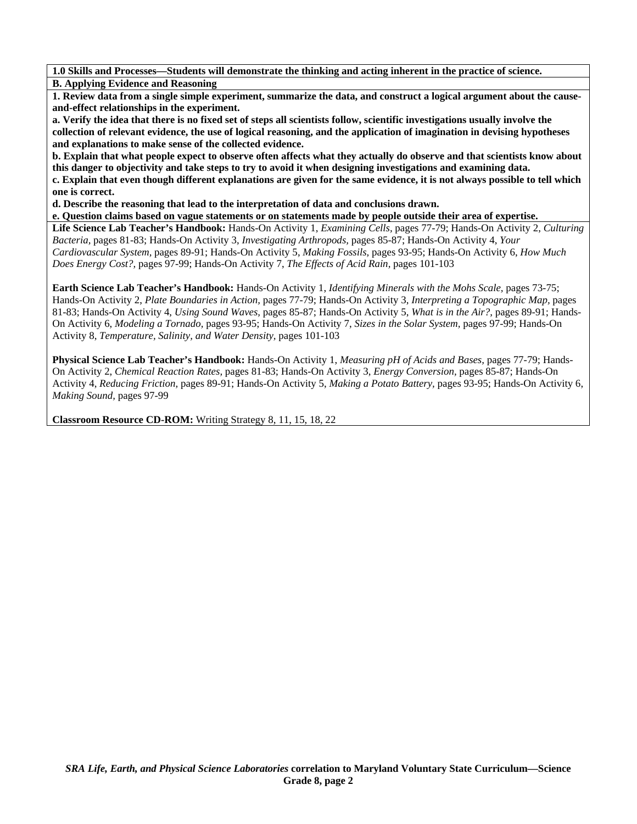**1.0 Skills and Processes—Students will demonstrate the thinking and acting inherent in the practice of science. B. Applying Evidence and Reasoning** 

**1. Review data from a single simple experiment, summarize the data, and construct a logical argument about the causeand-effect relationships in the experiment.** 

**a. Verify the idea that there is no fixed set of steps all scientists follow, scientific investigations usually involve the collection of relevant evidence, the use of logical reasoning, and the application of imagination in devising hypotheses and explanations to make sense of the collected evidence.** 

**b. Explain that what people expect to observe often affects what they actually do observe and that scientists know about this danger to objectivity and take steps to try to avoid it when designing investigations and examining data. c. Explain that even though different explanations are given for the same evidence, it is not always possible to tell which one is correct.** 

**d. Describe the reasoning that lead to the interpretation of data and conclusions drawn.** 

**e. Question claims based on vague statements or on statements made by people outside their area of expertise.** 

**Life Science Lab Teacher's Handbook:** Hands-On Activity 1, *Examining Cells,* pages 77-79; Hands-On Activity 2, *Culturing Bacteria,* pages 81-83; Hands-On Activity 3, *Investigating Arthropods,* pages 85-87; Hands-On Activity 4, *Your Cardiovascular System,* pages 89-91; Hands-On Activity 5, *Making Fossils,* pages 93-95; Hands-On Activity 6, *How Much Does Energy Cost?,* pages 97-99; Hands-On Activity 7, *The Effects of Acid Rain,* pages 101-103

**Earth Science Lab Teacher's Handbook:** Hands-On Activity 1, *Identifying Minerals with the Mohs Scale,* pages 73-75; Hands-On Activity 2, *Plate Boundaries in Action,* pages 77-79; Hands-On Activity 3, *Interpreting a Topographic Map,* pages 81-83; Hands-On Activity 4, *Using Sound Waves,* pages 85-87; Hands-On Activity 5, *What is in the Air?,* pages 89-91; Hands-On Activity 6, *Modeling a Tornado,* pages 93-95; Hands-On Activity 7, *Sizes in the Solar System,* pages 97-99; Hands-On Activity 8, *Temperature, Salinity, and Water Density,* pages 101-103

**Physical Science Lab Teacher's Handbook:** Hands-On Activity 1, *Measuring pH of Acids and Bases,* pages 77-79; Hands-On Activity 2, *Chemical Reaction Rates,* pages 81-83; Hands-On Activity 3, *Energy Conversion,* pages 85-87; Hands-On Activity 4, *Reducing Friction,* pages 89-91; Hands-On Activity 5, *Making a Potato Battery,* pages 93-95; Hands-On Activity 6, *Making Sound,* pages 97-99

**Classroom Resource CD-ROM:** Writing Strategy 8, 11, 15, 18, 22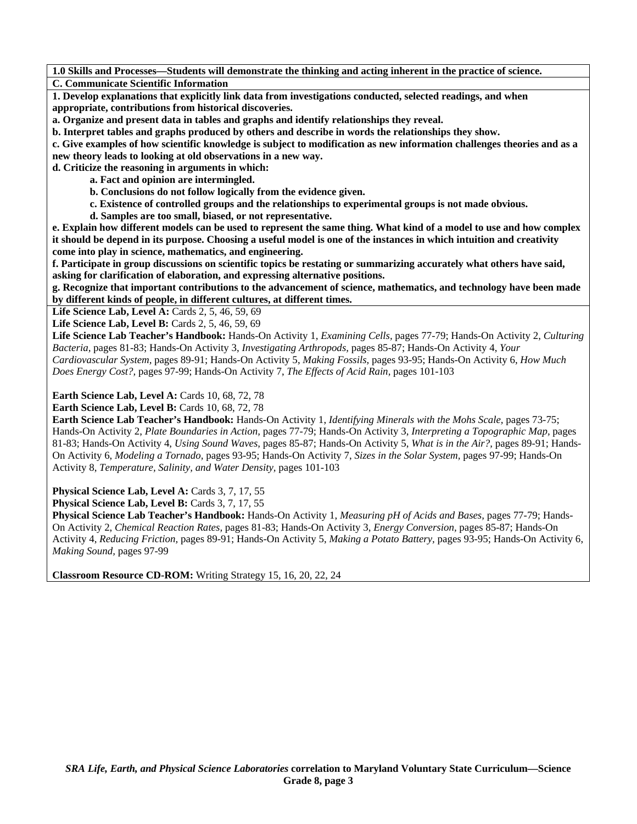**1.0 Skills and Processes—Students will demonstrate the thinking and acting inherent in the practice of science. C. Communicate Scientific Information** 

**1. Develop explanations that explicitly link data from investigations conducted, selected readings, and when appropriate, contributions from historical discoveries.** 

**a. Organize and present data in tables and graphs and identify relationships they reveal.** 

**b. Interpret tables and graphs produced by others and describe in words the relationships they show.** 

**c. Give examples of how scientific knowledge is subject to modification as new information challenges theories and as a new theory leads to looking at old observations in a new way.** 

**d. Criticize the reasoning in arguments in which:** 

 **a. Fact and opinion are intermingled.** 

 **b. Conclusions do not follow logically from the evidence given.** 

 **c. Existence of controlled groups and the relationships to experimental groups is not made obvious.** 

 **d. Samples are too small, biased, or not representative.** 

**e. Explain how different models can be used to represent the same thing. What kind of a model to use and how complex it should be depend in its purpose. Choosing a useful model is one of the instances in which intuition and creativity come into play in science, mathematics, and engineering.** 

**f. Participate in group discussions on scientific topics be restating or summarizing accurately what others have said, asking for clarification of elaboration, and expressing alternative positions.** 

**g. Recognize that important contributions to the advancement of science, mathematics, and technology have been made by different kinds of people, in different cultures, at different times.** 

Life Science Lab, Level A: Cards 2, 5, 46, 59, 69

**Life Science Lab, Level B: Cards 2, 5, 46, 59, 69** 

**Life Science Lab Teacher's Handbook:** Hands-On Activity 1, *Examining Cells,* pages 77-79; Hands-On Activity 2, *Culturing Bacteria,* pages 81-83; Hands-On Activity 3, *Investigating Arthropods,* pages 85-87; Hands-On Activity 4, *Your Cardiovascular System,* pages 89-91; Hands-On Activity 5, *Making Fossils,* pages 93-95; Hands-On Activity 6, *How Much Does Energy Cost?,* pages 97-99; Hands-On Activity 7, *The Effects of Acid Rain,* pages 101-103

**Earth Science Lab, Level A: Cards 10, 68, 72, 78** 

**Earth Science Lab, Level B: Cards 10, 68, 72, 78** 

**Earth Science Lab Teacher's Handbook:** Hands-On Activity 1, *Identifying Minerals with the Mohs Scale,* pages 73-75; Hands-On Activity 2, *Plate Boundaries in Action,* pages 77-79; Hands-On Activity 3, *Interpreting a Topographic Map,* pages 81-83; Hands-On Activity 4, *Using Sound Waves,* pages 85-87; Hands-On Activity 5, *What is in the Air?,* pages 89-91; Hands-On Activity 6, *Modeling a Tornado,* pages 93-95; Hands-On Activity 7, *Sizes in the Solar System,* pages 97-99; Hands-On Activity 8, *Temperature, Salinity, and Water Density,* pages 101-103

Physical Science Lab, Level A: Cards 3, 7, 17, 55

Physical Science Lab, Level B: Cards 3, 7, 17, 55

**Physical Science Lab Teacher's Handbook:** Hands-On Activity 1, *Measuring pH of Acids and Bases,* pages 77-79; Hands-On Activity 2, *Chemical Reaction Rates,* pages 81-83; Hands-On Activity 3, *Energy Conversion,* pages 85-87; Hands-On Activity 4, *Reducing Friction,* pages 89-91; Hands-On Activity 5, *Making a Potato Battery,* pages 93-95; Hands-On Activity 6, *Making Sound,* pages 97-99

**Classroom Resource CD-ROM:** Writing Strategy 15, 16, 20, 22, 24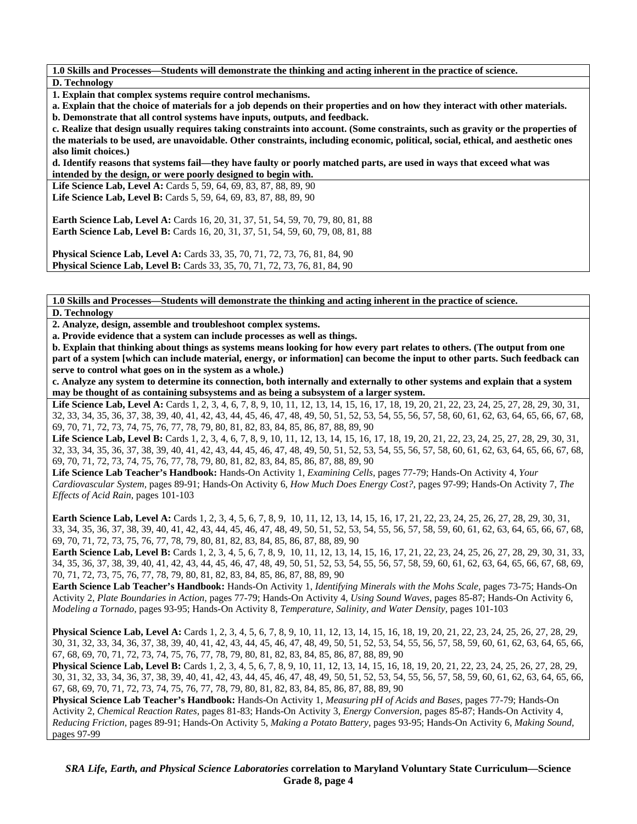**1.0 Skills and Processes—Students will demonstrate the thinking and acting inherent in the practice of science. D. Technology** 

**1. Explain that complex systems require control mechanisms.** 

**a. Explain that the choice of materials for a job depends on their properties and on how they interact with other materials.** 

**b. Demonstrate that all control systems have inputs, outputs, and feedback.** 

**c. Realize that design usually requires taking constraints into account. (Some constraints, such as gravity or the properties of the materials to be used, are unavoidable. Other constraints, including economic, political, social, ethical, and aesthetic ones also limit choices.)** 

**d. Identify reasons that systems fail—they have faulty or poorly matched parts, are used in ways that exceed what was intended by the design, or were poorly designed to begin with.** 

Life Science Lab, Level A: Cards 5, 59, 64, 69, 83, 87, 88, 89, 90 Life Science Lab, Level B: Cards 5, 59, 64, 69, 83, 87, 88, 89, 90

**Earth Science Lab, Level A:** Cards 16, 20, 31, 37, 51, 54, 59, 70, 79, 80, 81, 88 **Earth Science Lab, Level B:** Cards 16, 20, 31, 37, 51, 54, 59, 60, 79, 08, 81, 88

**Physical Science Lab, Level A: Cards 33, 35, 70, 71, 72, 73, 76, 81, 84, 90 Physical Science Lab, Level B:** Cards 33, 35, 70, 71, 72, 73, 76, 81, 84, 90

**1.0 Skills and Processes—Students will demonstrate the thinking and acting inherent in the practice of science.** 

**D. Technology** 

**2. Analyze, design, assemble and troubleshoot complex systems.** 

**a. Provide evidence that a system can include processes as well as things.** 

**b. Explain that thinking about things as systems means looking for how every part relates to others. (The output from one part of a system [which can include material, energy, or information] can become the input to other parts. Such feedback can serve to control what goes on in the system as a whole.)** 

**c. Analyze any system to determine its connection, both internally and externally to other systems and explain that a system may be thought of as containing subsystems and as being a subsystem of a larger system.** 

Life Science Lab, Level A: Cards 1, 2, 3, 4, 6, 7, 8, 9, 10, 11, 12, 13, 14, 15, 16, 17, 18, 19, 20, 21, 22, 23, 24, 25, 27, 28, 29, 30, 31, 32, 33, 34, 35, 36, 37, 38, 39, 40, 41, 42, 43, 44, 45, 46, 47, 48, 49, 50, 51, 52, 53, 54, 55, 56, 57, 58, 60, 61, 62, 63, 64, 65, 66, 67, 68, 69, 70, 71, 72, 73, 74, 75, 76, 77, 78, 79, 80, 81, 82, 83, 84, 85, 86, 87, 88, 89, 90

Life Science Lab, Level B: Cards 1, 2, 3, 4, 6, 7, 8, 9, 10, 11, 12, 13, 14, 15, 16, 17, 18, 19, 20, 21, 22, 23, 24, 25, 27, 28, 29, 30, 31, 32, 33, 34, 35, 36, 37, 38, 39, 40, 41, 42, 43, 44, 45, 46, 47, 48, 49, 50, 51, 52, 53, 54, 55, 56, 57, 58, 60, 61, 62, 63, 64, 65, 66, 67, 68, 69, 70, 71, 72, 73, 74, 75, 76, 77, 78, 79, 80, 81, 82, 83, 84, 85, 86, 87, 88, 89, 90

**Life Science Lab Teacher's Handbook:** Hands-On Activity 1, *Examining Cells,* pages 77-79; Hands-On Activity 4, *Your Cardiovascular System,* pages 89-91; Hands-On Activity 6, *How Much Does Energy Cost?,* pages 97-99; Hands-On Activity 7, *The Effects of Acid Rain,* pages 101-103

Earth Science Lab, Level A: Cards 1, 2, 3, 4, 5, 6, 7, 8, 9, 10, 11, 12, 13, 14, 15, 16, 17, 21, 22, 23, 24, 25, 26, 27, 28, 29, 30, 31, 33, 34, 35, 36, 37, 38, 39, 40, 41, 42, 43, 44, 45, 46, 47, 48, 49, 50, 51, 52, 53, 54, 55, 56, 57, 58, 59, 60, 61, 62, 63, 64, 65, 66, 67, 68, 69, 70, 71, 72, 73, 75, 76, 77, 78, 79, 80, 81, 82, 83, 84, 85, 86, 87, 88, 89, 90

**Earth Science Lab, Level B:** Cards 1, 2, 3, 4, 5, 6, 7, 8, 9, 10, 11, 12, 13, 14, 15, 16, 17, 21, 22, 23, 24, 25, 26, 27, 28, 29, 30, 31, 33, 34, 35, 36, 37, 38, 39, 40, 41, 42, 43, 44, 45, 46, 47, 48, 49, 50, 51, 52, 53, 54, 55, 56, 57, 58, 59, 60, 61, 62, 63, 64, 65, 66, 67, 68, 69, 70, 71, 72, 73, 75, 76, 77, 78, 79, 80, 81, 82, 83, 84, 85, 86, 87, 88, 89, 90

**Earth Science Lab Teacher's Handbook:** Hands-On Activity 1, *Identifying Minerals with the Mohs Scale,* pages 73-75; Hands-On Activity 2, *Plate Boundaries in Action,* pages 77-79; Hands-On Activity 4, *Using Sound Waves,* pages 85-87; Hands-On Activity 6, *Modeling a Tornado,* pages 93-95; Hands-On Activity 8, *Temperature, Salinity, and Water Density,* pages 101-103

**Physical Science Lab, Level A:** Cards 1, 2, 3, 4, 5, 6, 7, 8, 9, 10, 11, 12, 13, 14, 15, 16, 18, 19, 20, 21, 22, 23, 24, 25, 26, 27, 28, 29, 30, 31, 32, 33, 34, 36, 37, 38, 39, 40, 41, 42, 43, 44, 45, 46, 47, 48, 49, 50, 51, 52, 53, 54, 55, 56, 57, 58, 59, 60, 61, 62, 63, 64, 65, 66, 67, 68, 69, 70, 71, 72, 73, 74, 75, 76, 77, 78, 79, 80, 81, 82, 83, 84, 85, 86, 87, 88, 89, 90

**Physical Science Lab, Level B:** Cards 1, 2, 3, 4, 5, 6, 7, 8, 9, 10, 11, 12, 13, 14, 15, 16, 18, 19, 20, 21, 22, 23, 24, 25, 26, 27, 28, 29, 30, 31, 32, 33, 34, 36, 37, 38, 39, 40, 41, 42, 43, 44, 45, 46, 47, 48, 49, 50, 51, 52, 53, 54, 55, 56, 57, 58, 59, 60, 61, 62, 63, 64, 65, 66, 67, 68, 69, 70, 71, 72, 73, 74, 75, 76, 77, 78, 79, 80, 81, 82, 83, 84, 85, 86, 87, 88, 89, 90

**Physical Science Lab Teacher's Handbook:** Hands-On Activity 1, *Measuring pH of Acids and Bases,* pages 77-79; Hands-On Activity 2, *Chemical Reaction Rates,* pages 81-83; Hands-On Activity 3, *Energy Conversion,* pages 85-87; Hands-On Activity 4, *Reducing Friction,* pages 89-91; Hands-On Activity 5, *Making a Potato Battery,* pages 93-95; Hands-On Activity 6, *Making Sound,* pages 97-99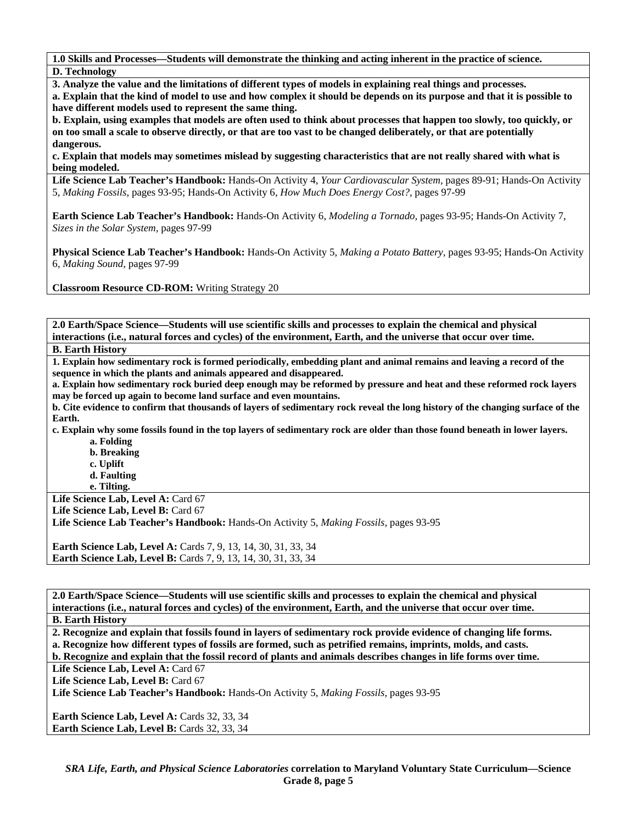**1.0 Skills and Processes—Students will demonstrate the thinking and acting inherent in the practice of science. D. Technology** 

**3. Analyze the value and the limitations of different types of models in explaining real things and processes.** 

**a. Explain that the kind of model to use and how complex it should be depends on its purpose and that it is possible to have different models used to represent the same thing.** 

**b. Explain, using examples that models are often used to think about processes that happen too slowly, too quickly, or on too small a scale to observe directly, or that are too vast to be changed deliberately, or that are potentially dangerous.** 

**c. Explain that models may sometimes mislead by suggesting characteristics that are not really shared with what is being modeled.** 

**Life Science Lab Teacher's Handbook:** Hands-On Activity 4, *Your Cardiovascular System,* pages 89-91; Hands-On Activity 5, *Making Fossils,* pages 93-95; Hands-On Activity 6, *How Much Does Energy Cost?,* pages 97-99

**Earth Science Lab Teacher's Handbook:** Hands-On Activity 6, *Modeling a Tornado,* pages 93-95; Hands-On Activity 7, *Sizes in the Solar System,* pages 97-99

**Physical Science Lab Teacher's Handbook:** Hands-On Activity 5, *Making a Potato Battery,* pages 93-95; Hands-On Activity 6, *Making Sound,* pages 97-99

**Classroom Resource CD-ROM:** Writing Strategy 20

**2.0 Earth/Space Science—Students will use scientific skills and processes to explain the chemical and physical interactions (i.e., natural forces and cycles) of the environment, Earth, and the universe that occur over time.** 

**B. Earth History** 

**1. Explain how sedimentary rock is formed periodically, embedding plant and animal remains and leaving a record of the sequence in which the plants and animals appeared and disappeared.** 

**a. Explain how sedimentary rock buried deep enough may be reformed by pressure and heat and these reformed rock layers may be forced up again to become land surface and even mountains.** 

**b. Cite evidence to confirm that thousands of layers of sedimentary rock reveal the long history of the changing surface of the Earth.** 

**c. Explain why some fossils found in the top layers of sedimentary rock are older than those found beneath in lower layers. a. Folding** 

- **b. Breaking**
- **c. Uplift**
- **d. Faulting**
- **e. Tilting.**

Life Science Lab, Level A: Card 67

Life Science Lab, Level B: Card 67 **Life Science Lab Teacher's Handbook:** Hands-On Activity 5, *Making Fossils,* pages 93-95

**Earth Science Lab, Level A:** Cards 7, 9, 13, 14, 30, 31, 33, 34 **Earth Science Lab, Level B:** Cards 7, 9, 13, 14, 30, 31, 33, 34

**2.0 Earth/Space Science—Students will use scientific skills and processes to explain the chemical and physical interactions (i.e., natural forces and cycles) of the environment, Earth, and the universe that occur over time. B. Earth History** 

**2. Recognize and explain that fossils found in layers of sedimentary rock provide evidence of changing life forms. a. Recognize how different types of fossils are formed, such as petrified remains, imprints, molds, and casts.** 

**b. Recognize and explain that the fossil record of plants and animals describes changes in life forms over time.** 

Life Science Lab, Level A: Card 67

Life Science Lab, Level B: Card 67

**Life Science Lab Teacher's Handbook:** Hands-On Activity 5, *Making Fossils,* pages 93-95

**Earth Science Lab, Level A: Cards 32, 33, 34 Earth Science Lab, Level B: Cards 32, 33, 34**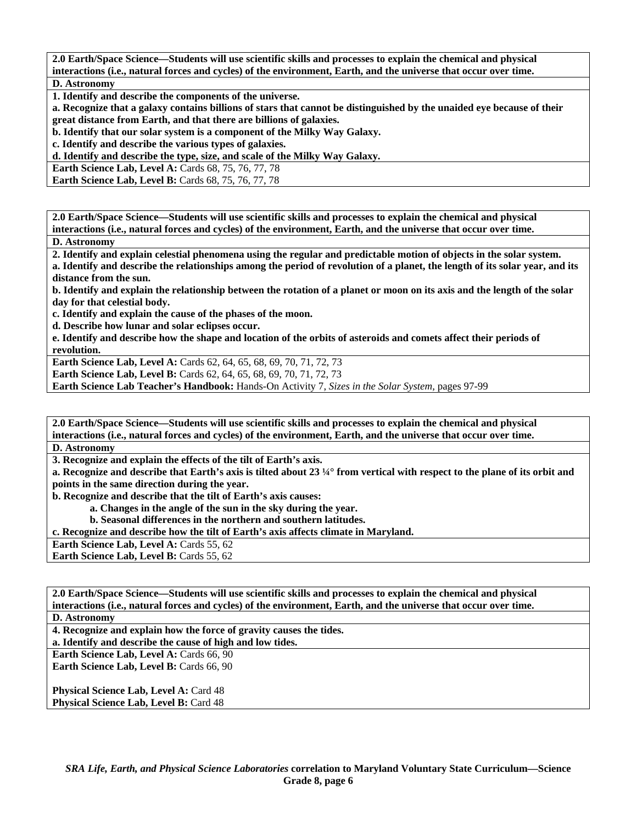**2.0 Earth/Space Science—Students will use scientific skills and processes to explain the chemical and physical interactions (i.e., natural forces and cycles) of the environment, Earth, and the universe that occur over time. D. Astronomy** 

**1. Identify and describe the components of the universe.** 

**a. Recognize that a galaxy contains billions of stars that cannot be distinguished by the unaided eye because of their great distance from Earth, and that there are billions of galaxies.** 

**b. Identify that our solar system is a component of the Milky Way Galaxy.** 

**c. Identify and describe the various types of galaxies.** 

**d. Identify and describe the type, size, and scale of the Milky Way Galaxy.** 

**Earth Science Lab, Level A: Cards 68, 75, 76, 77, 78** 

**Earth Science Lab, Level B: Cards 68, 75, 76, 77, 78** 

**2.0 Earth/Space Science—Students will use scientific skills and processes to explain the chemical and physical interactions (i.e., natural forces and cycles) of the environment, Earth, and the universe that occur over time.** 

**D. Astronomy** 

**2. Identify and explain celestial phenomena using the regular and predictable motion of objects in the solar system.** 

**a. Identify and describe the relationships among the period of revolution of a planet, the length of its solar year, and its distance from the sun.** 

**b. Identify and explain the relationship between the rotation of a planet or moon on its axis and the length of the solar day for that celestial body.** 

**c. Identify and explain the cause of the phases of the moon.** 

**d. Describe how lunar and solar eclipses occur.** 

**e. Identify and describe how the shape and location of the orbits of asteroids and comets affect their periods of revolution.** 

**Earth Science Lab, Level A: Cards 62, 64, 65, 68, 69, 70, 71, 72, 73** 

**Earth Science Lab, Level B:** Cards 62, 64, 65, 68, 69, 70, 71, 72, 73

**Earth Science Lab Teacher's Handbook:** Hands-On Activity 7, *Sizes in the Solar System,* pages 97-99

**2.0 Earth/Space Science—Students will use scientific skills and processes to explain the chemical and physical interactions (i.e., natural forces and cycles) of the environment, Earth, and the universe that occur over time.** 

**D. Astronomy** 

**3. Recognize and explain the effects of the tilt of Earth's axis.** 

**a. Recognize and describe that Earth's axis is tilted about 23 ¼° from vertical with respect to the plane of its orbit and points in the same direction during the year.** 

**b. Recognize and describe that the tilt of Earth's axis causes:** 

 **a. Changes in the angle of the sun in the sky during the year.** 

 **b. Seasonal differences in the northern and southern latitudes.** 

**c. Recognize and describe how the tilt of Earth's axis affects climate in Maryland.** 

**Earth Science Lab, Level A: Cards 55, 62** 

**Earth Science Lab, Level B: Cards 55, 62** 

**2.0 Earth/Space Science—Students will use scientific skills and processes to explain the chemical and physical interactions (i.e., natural forces and cycles) of the environment, Earth, and the universe that occur over time.** 

**D. Astronomy** 

**4. Recognize and explain how the force of gravity causes the tides.** 

**a. Identify and describe the cause of high and low tides.** 

**Earth Science Lab, Level A: Cards 66, 90 Earth Science Lab, Level B: Cards 66, 90** 

**Physical Science Lab, Level A: Card 48 Physical Science Lab, Level B: Card 48**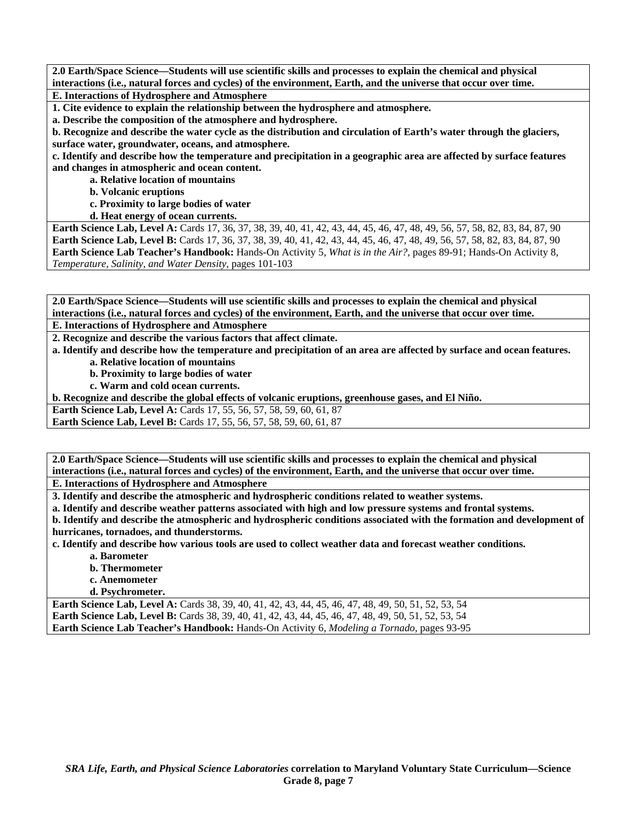**2.0 Earth/Space Science—Students will use scientific skills and processes to explain the chemical and physical interactions (i.e., natural forces and cycles) of the environment, Earth, and the universe that occur over time. E. Interactions of Hydrosphere and Atmosphere** 

**1. Cite evidence to explain the relationship between the hydrosphere and atmosphere.** 

**a. Describe the composition of the atmosphere and hydrosphere.** 

**b. Recognize and describe the water cycle as the distribution and circulation of Earth's water through the glaciers, surface water, groundwater, oceans, and atmosphere.** 

**c. Identify and describe how the temperature and precipitation in a geographic area are affected by surface features and changes in atmospheric and ocean content.** 

 **a. Relative location of mountains** 

 **b. Volcanic eruptions** 

 **c. Proximity to large bodies of water** 

 **d. Heat energy of ocean currents.** 

**Earth Science Lab, Level A:** Cards 17, 36, 37, 38, 39, 40, 41, 42, 43, 44, 45, 46, 47, 48, 49, 56, 57, 58, 82, 83, 84, 87, 90 **Earth Science Lab, Level B:** Cards 17, 36, 37, 38, 39, 40, 41, 42, 43, 44, 45, 46, 47, 48, 49, 56, 57, 58, 82, 83, 84, 87, 90 **Earth Science Lab Teacher's Handbook:** Hands-On Activity 5, *What is in the Air?,* pages 89-91; Hands-On Activity 8, *Temperature, Salinity, and Water Density,* pages 101-103

**2.0 Earth/Space Science—Students will use scientific skills and processes to explain the chemical and physical interactions (i.e., natural forces and cycles) of the environment, Earth, and the universe that occur over time.** 

**E. Interactions of Hydrosphere and Atmosphere** 

**2. Recognize and describe the various factors that affect climate.** 

**a. Identify and describe how the temperature and precipitation of an area are affected by surface and ocean features.** 

 **a. Relative location of mountains** 

 **b. Proximity to large bodies of water** 

 **c. Warm and cold ocean currents.** 

**b. Recognize and describe the global effects of volcanic eruptions, greenhouse gases, and El Niño.** 

**Earth Science Lab, Level A: Cards 17, 55, 56, 57, 58, 59, 60, 61, 87 Earth Science Lab, Level B:** Cards 17, 55, 56, 57, 58, 59, 60, 61, 87

**2.0 Earth/Space Science—Students will use scientific skills and processes to explain the chemical and physical interactions (i.e., natural forces and cycles) of the environment, Earth, and the universe that occur over time.** 

**E. Interactions of Hydrosphere and Atmosphere** 

**3. Identify and describe the atmospheric and hydrospheric conditions related to weather systems.** 

**a. Identify and describe weather patterns associated with high and low pressure systems and frontal systems.** 

**b. Identify and describe the atmospheric and hydrospheric conditions associated with the formation and development of hurricanes, tornadoes, and thunderstorms.** 

**c. Identify and describe how various tools are used to collect weather data and forecast weather conditions.** 

- **a. Barometer**
- **b. Thermometer**
- **c. Anemometer**
- **d. Psychrometer.**

**Earth Science Lab, Level A:** Cards 38, 39, 40, 41, 42, 43, 44, 45, 46, 47, 48, 49, 50, 51, 52, 53, 54 **Earth Science Lab, Level B:** Cards 38, 39, 40, 41, 42, 43, 44, 45, 46, 47, 48, 49, 50, 51, 52, 53, 54 **Earth Science Lab Teacher's Handbook:** Hands-On Activity 6, *Modeling a Tornado,* pages 93-95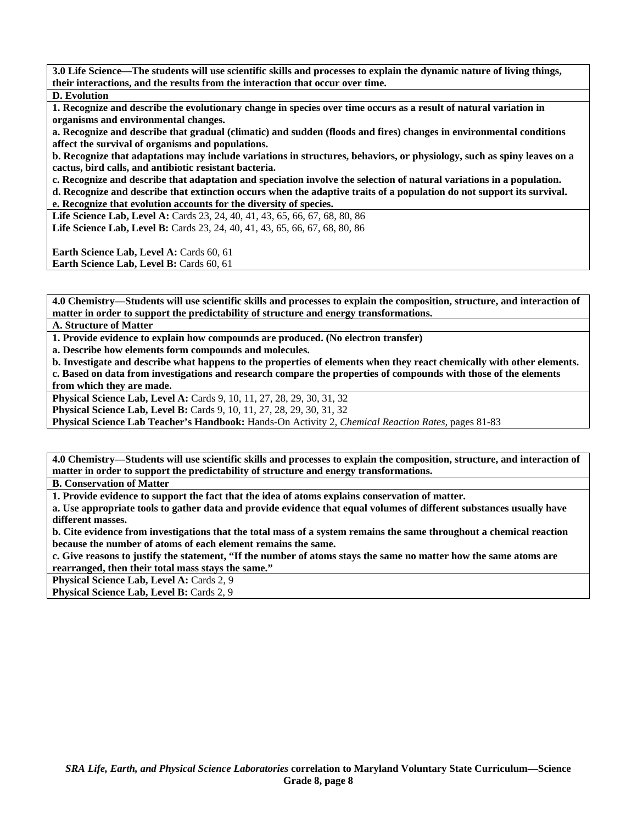**3.0 Life Science—The students will use scientific skills and processes to explain the dynamic nature of living things, their interactions, and the results from the interaction that occur over time.** 

**D. Evolution** 

**1. Recognize and describe the evolutionary change in species over time occurs as a result of natural variation in organisms and environmental changes.** 

**a. Recognize and describe that gradual (climatic) and sudden (floods and fires) changes in environmental conditions affect the survival of organisms and populations.** 

**b. Recognize that adaptations may include variations in structures, behaviors, or physiology, such as spiny leaves on a cactus, bird calls, and antibiotic resistant bacteria.** 

**c. Recognize and describe that adaptation and speciation involve the selection of natural variations in a population.** 

**d. Recognize and describe that extinction occurs when the adaptive traits of a population do not support its survival. e. Recognize that evolution accounts for the diversity of species.** 

Life Science Lab, Level A: Cards 23, 24, 40, 41, 43, 65, 66, 67, 68, 80, 86 Life Science Lab, Level B: Cards 23, 24, 40, 41, 43, 65, 66, 67, 68, 80, 86

**Earth Science Lab, Level A: Cards 60, 61 Earth Science Lab, Level B: Cards 60, 61** 

**4.0 Chemistry—Students will use scientific skills and processes to explain the composition, structure, and interaction of matter in order to support the predictability of structure and energy transformations.** 

#### **A. Structure of Matter**

**1. Provide evidence to explain how compounds are produced. (No electron transfer)** 

**a. Describe how elements form compounds and molecules.** 

**b. Investigate and describe what happens to the properties of elements when they react chemically with other elements. c. Based on data from investigations and research compare the properties of compounds with those of the elements from which they are made.** 

**Physical Science Lab, Level A: Cards 9, 10, 11, 27, 28, 29, 30, 31, 32** 

**Physical Science Lab, Level B:** Cards 9, 10, 11, 27, 28, 29, 30, 31, 32

**Physical Science Lab Teacher's Handbook:** Hands-On Activity 2, *Chemical Reaction Rates,* pages 81-83

**4.0 Chemistry—Students will use scientific skills and processes to explain the composition, structure, and interaction of matter in order to support the predictability of structure and energy transformations.** 

**B. Conservation of Matter** 

**1. Provide evidence to support the fact that the idea of atoms explains conservation of matter.** 

**a. Use appropriate tools to gather data and provide evidence that equal volumes of different substances usually have different masses.** 

**b. Cite evidence from investigations that the total mass of a system remains the same throughout a chemical reaction because the number of atoms of each element remains the same.** 

**c. Give reasons to justify the statement, "If the number of atoms stays the same no matter how the same atoms are rearranged, then their total mass stays the same."** 

**Physical Science Lab, Level A: Cards 2, 9** 

**Physical Science Lab, Level B: Cards 2, 9**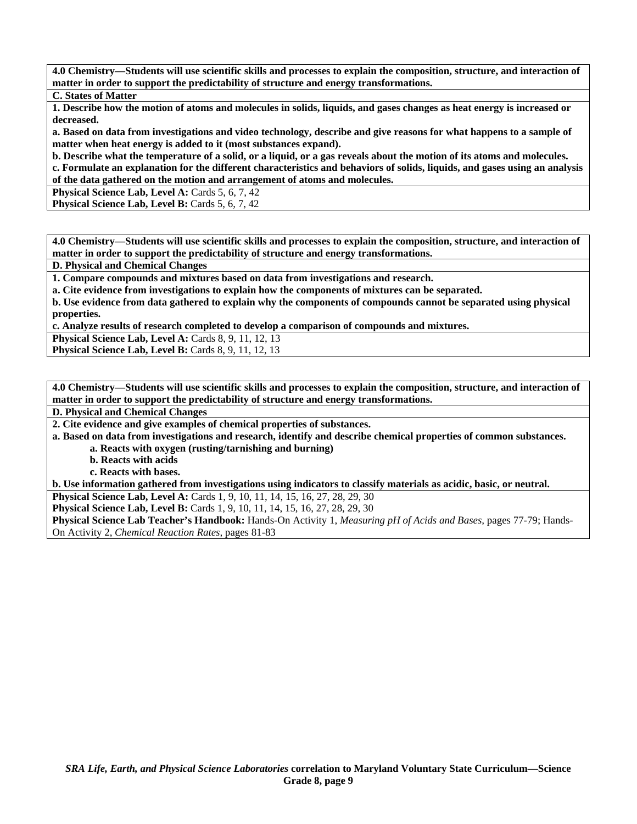**4.0 Chemistry—Students will use scientific skills and processes to explain the composition, structure, and interaction of matter in order to support the predictability of structure and energy transformations.** 

**C. States of Matter** 

**1. Describe how the motion of atoms and molecules in solids, liquids, and gases changes as heat energy is increased or decreased.** 

**a. Based on data from investigations and video technology, describe and give reasons for what happens to a sample of matter when heat energy is added to it (most substances expand).** 

**b. Describe what the temperature of a solid, or a liquid, or a gas reveals about the motion of its atoms and molecules. c. Formulate an explanation for the different characteristics and behaviors of solids, liquids, and gases using an analysis of the data gathered on the motion and arrangement of atoms and molecules.** 

**Physical Science Lab, Level A: Cards 5, 6, 7, 42** 

**Physical Science Lab, Level B: Cards 5, 6, 7, 42** 

**4.0 Chemistry—Students will use scientific skills and processes to explain the composition, structure, and interaction of matter in order to support the predictability of structure and energy transformations.** 

**D. Physical and Chemical Changes** 

**1. Compare compounds and mixtures based on data from investigations and research.** 

**a. Cite evidence from investigations to explain how the components of mixtures can be separated.** 

**b. Use evidence from data gathered to explain why the components of compounds cannot be separated using physical properties.** 

**c. Analyze results of research completed to develop a comparison of compounds and mixtures.** 

**Physical Science Lab, Level A: Cards 8, 9, 11, 12, 13** 

**Physical Science Lab, Level B: Cards 8, 9, 11, 12, 13** 

**4.0 Chemistry—Students will use scientific skills and processes to explain the composition, structure, and interaction of matter in order to support the predictability of structure and energy transformations.** 

**D. Physical and Chemical Changes** 

**2. Cite evidence and give examples of chemical properties of substances.** 

**a. Based on data from investigations and research, identify and describe chemical properties of common substances.** 

 **a. Reacts with oxygen (rusting/tarnishing and burning)** 

 **b. Reacts with acids** 

 **c. Reacts with bases.** 

**b. Use information gathered from investigations using indicators to classify materials as acidic, basic, or neutral.** 

**Physical Science Lab, Level A:** Cards 1, 9, 10, 11, 14, 15, 16, 27, 28, 29, 30

**Physical Science Lab, Level B:** Cards 1, 9, 10, 11, 14, 15, 16, 27, 28, 29, 30

**Physical Science Lab Teacher's Handbook:** Hands-On Activity 1, *Measuring pH of Acids and Bases,* pages 77-79; Hands-On Activity 2, *Chemical Reaction Rates,* pages 81-83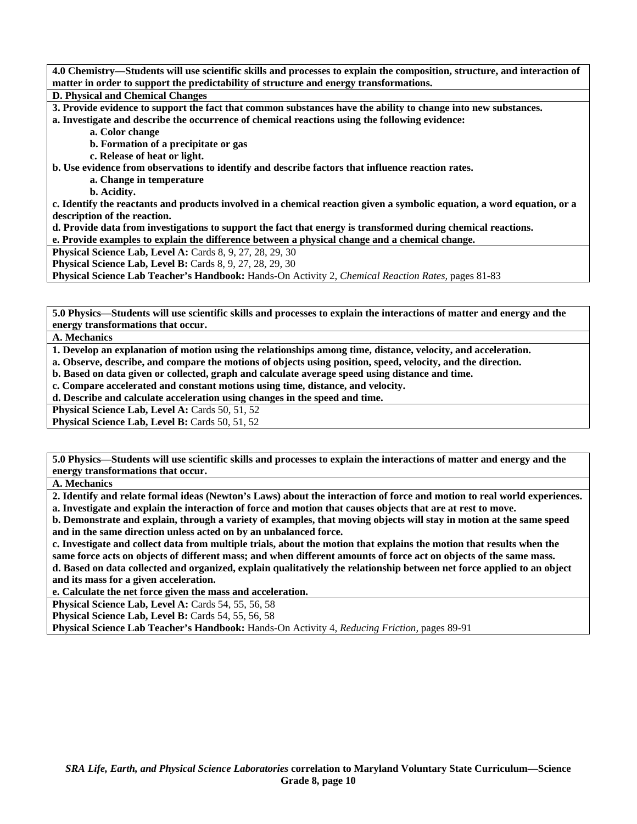**4.0 Chemistry—Students will use scientific skills and processes to explain the composition, structure, and interaction of matter in order to support the predictability of structure and energy transformations. D. Physical and Chemical Changes** 

**3. Provide evidence to support the fact that common substances have the ability to change into new substances.** 

**a. Investigate and describe the occurrence of chemical reactions using the following evidence:** 

 **a. Color change** 

 **b. Formation of a precipitate or gas** 

 **c. Release of heat or light.** 

**b. Use evidence from observations to identify and describe factors that influence reaction rates.** 

 **a. Change in temperature** 

 **b. Acidity.** 

**c. Identify the reactants and products involved in a chemical reaction given a symbolic equation, a word equation, or a description of the reaction.** 

**d. Provide data from investigations to support the fact that energy is transformed during chemical reactions.** 

**e. Provide examples to explain the difference between a physical change and a chemical change.** 

**Physical Science Lab, Level A: Cards 8, 9, 27, 28, 29, 30** 

**Physical Science Lab, Level B:** Cards 8, 9, 27, 28, 29, 30

**Physical Science Lab Teacher's Handbook:** Hands-On Activity 2, *Chemical Reaction Rates,* pages 81-83

**5.0 Physics—Students will use scientific skills and processes to explain the interactions of matter and energy and the energy transformations that occur.** 

**A. Mechanics** 

**1. Develop an explanation of motion using the relationships among time, distance, velocity, and acceleration.** 

**a. Observe, describe, and compare the motions of objects using position, speed, velocity, and the direction.** 

**b. Based on data given or collected, graph and calculate average speed using distance and time.** 

**c. Compare accelerated and constant motions using time, distance, and velocity.** 

**d. Describe and calculate acceleration using changes in the speed and time.** 

**Physical Science Lab, Level A: Cards 50, 51, 52** 

**Physical Science Lab, Level B: Cards 50, 51, 52** 

**5.0 Physics—Students will use scientific skills and processes to explain the interactions of matter and energy and the energy transformations that occur.** 

**A. Mechanics** 

**2. Identify and relate formal ideas (Newton's Laws) about the interaction of force and motion to real world experiences.** 

**a. Investigate and explain the interaction of force and motion that causes objects that are at rest to move. b. Demonstrate and explain, through a variety of examples, that moving objects will stay in motion at the same speed and in the same direction unless acted on by an unbalanced force.** 

**c. Investigate and collect data from multiple trials, about the motion that explains the motion that results when the same force acts on objects of different mass; and when different amounts of force act on objects of the same mass. d. Based on data collected and organized, explain qualitatively the relationship between net force applied to an object and its mass for a given acceleration.** 

**e. Calculate the net force given the mass and acceleration.** 

**Physical Science Lab, Level A: Cards 54, 55, 56, 58** 

**Physical Science Lab, Level B: Cards 54, 55, 56, 58** 

**Physical Science Lab Teacher's Handbook:** Hands-On Activity 4, *Reducing Friction,* pages 89-91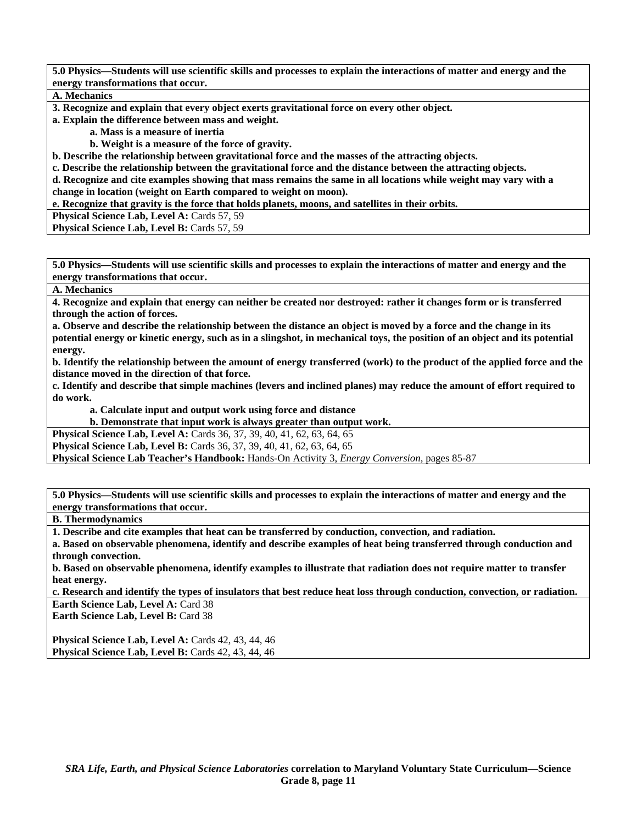**A. Mechanics** 

**3. Recognize and explain that every object exerts gravitational force on every other object.** 

**a. Explain the difference between mass and weight.** 

 **a. Mass is a measure of inertia** 

 **b. Weight is a measure of the force of gravity.** 

**b. Describe the relationship between gravitational force and the masses of the attracting objects.** 

**c. Describe the relationship between the gravitational force and the distance between the attracting objects.** 

**d. Recognize and cite examples showing that mass remains the same in all locations while weight may vary with a change in location (weight on Earth compared to weight on moon).** 

**e. Recognize that gravity is the force that holds planets, moons, and satellites in their orbits.** 

**Physical Science Lab, Level A: Cards 57, 59** 

**Physical Science Lab, Level B: Cards 57, 59** 

**5.0 Physics—Students will use scientific skills and processes to explain the interactions of matter and energy and the energy transformations that occur.** 

**A. Mechanics** 

**4. Recognize and explain that energy can neither be created nor destroyed: rather it changes form or is transferred through the action of forces.** 

**a. Observe and describe the relationship between the distance an object is moved by a force and the change in its potential energy or kinetic energy, such as in a slingshot, in mechanical toys, the position of an object and its potential energy.** 

**b. Identify the relationship between the amount of energy transferred (work) to the product of the applied force and the distance moved in the direction of that force.** 

**c. Identify and describe that simple machines (levers and inclined planes) may reduce the amount of effort required to do work.** 

 **a. Calculate input and output work using force and distance** 

 **b. Demonstrate that input work is always greater than output work.** 

**Physical Science Lab, Level A: Cards 36, 37, 39, 40, 41, 62, 63, 64, 65** 

**Physical Science Lab, Level B:** Cards 36, 37, 39, 40, 41, 62, 63, 64, 65

**Physical Science Lab Teacher's Handbook:** Hands-On Activity 3, *Energy Conversion,* pages 85-87

**5.0 Physics—Students will use scientific skills and processes to explain the interactions of matter and energy and the energy transformations that occur.** 

**B. Thermodynamics** 

**1. Describe and cite examples that heat can be transferred by conduction, convection, and radiation.** 

**a. Based on observable phenomena, identify and describe examples of heat being transferred through conduction and through convection.** 

**b. Based on observable phenomena, identify examples to illustrate that radiation does not require matter to transfer heat energy.** 

**c. Research and identify the types of insulators that best reduce heat loss through conduction, convection, or radiation. Earth Science Lab, Level A: Card 38** 

**Earth Science Lab, Level B: Card 38** 

**Physical Science Lab, Level A:** Cards 42, 43, 44, 46 **Physical Science Lab, Level B:** Cards 42, 43, 44, 46